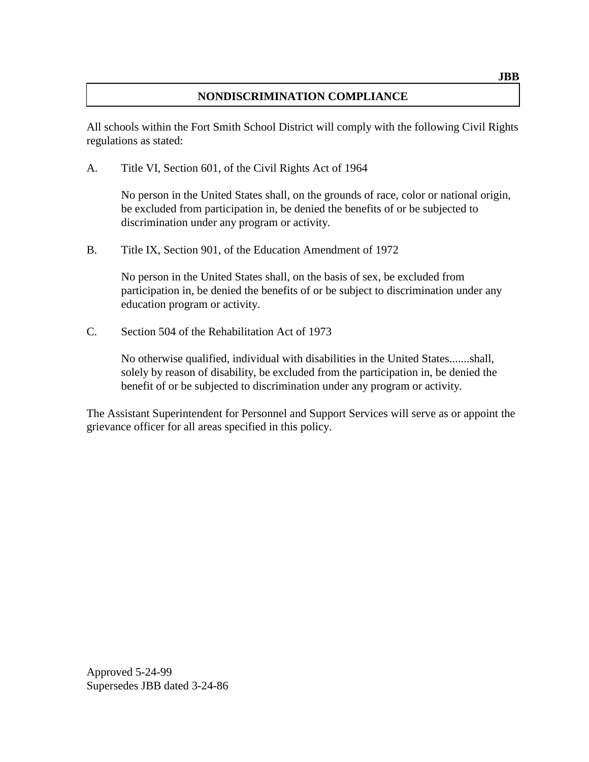## **NONDISCRIMINATION COMPLIANCE**

All schools within the Fort Smith School District will comply with the following Civil Rights regulations as stated:

A. Title VI, Section 601, of the Civil Rights Act of 1964

No person in the United States shall, on the grounds of race, color or national origin, be excluded from participation in, be denied the benefits of or be subjected to discrimination under any program or activity.

B. Title IX, Section 901, of the Education Amendment of 1972

No person in the United States shall, on the basis of sex, be excluded from participation in, be denied the benefits of or be subject to discrimination under any education program or activity.

C. Section 504 of the Rehabilitation Act of 1973

No otherwise qualified, individual with disabilities in the United States.......shall, solely by reason of disability, be excluded from the participation in, be denied the benefit of or be subjected to discrimination under any program or activity.

The Assistant Superintendent for Personnel and Support Services will serve as or appoint the grievance officer for all areas specified in this policy.

Approved 5-24-99 Supersedes JBB dated 3-24-86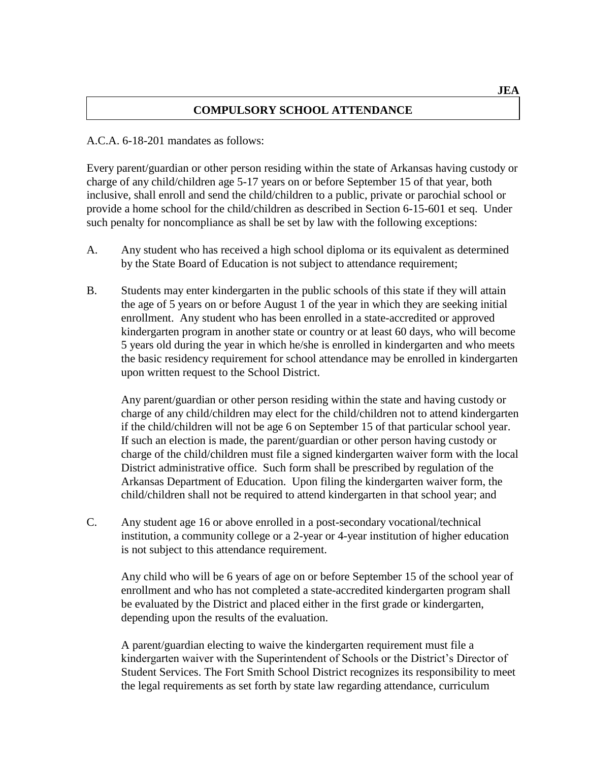## **COMPULSORY SCHOOL ATTENDANCE**

#### A.C.A. 6-18-201 mandates as follows:

Every parent/guardian or other person residing within the state of Arkansas having custody or charge of any child/children age 5-17 years on or before September 15 of that year, both inclusive, shall enroll and send the child/children to a public, private or parochial school or provide a home school for the child/children as described in Section 6-15-601 et seq. Under such penalty for noncompliance as shall be set by law with the following exceptions:

- A. Any student who has received a high school diploma or its equivalent as determined by the State Board of Education is not subject to attendance requirement;
- B. Students may enter kindergarten in the public schools of this state if they will attain the age of 5 years on or before August 1 of the year in which they are seeking initial enrollment. Any student who has been enrolled in a state-accredited or approved kindergarten program in another state or country or at least 60 days, who will become 5 years old during the year in which he/she is enrolled in kindergarten and who meets the basic residency requirement for school attendance may be enrolled in kindergarten upon written request to the School District.

Any parent/guardian or other person residing within the state and having custody or charge of any child/children may elect for the child/children not to attend kindergarten if the child/children will not be age 6 on September 15 of that particular school year. If such an election is made, the parent/guardian or other person having custody or charge of the child/children must file a signed kindergarten waiver form with the local District administrative office. Such form shall be prescribed by regulation of the Arkansas Department of Education. Upon filing the kindergarten waiver form, the child/children shall not be required to attend kindergarten in that school year; and

C. Any student age 16 or above enrolled in a post-secondary vocational/technical institution, a community college or a 2-year or 4-year institution of higher education is not subject to this attendance requirement.

Any child who will be 6 years of age on or before September 15 of the school year of enrollment and who has not completed a state-accredited kindergarten program shall be evaluated by the District and placed either in the first grade or kindergarten, depending upon the results of the evaluation.

A parent/guardian electing to waive the kindergarten requirement must file a kindergarten waiver with the Superintendent of Schools or the District's Director of Student Services. The Fort Smith School District recognizes its responsibility to meet the legal requirements as set forth by state law regarding attendance, curriculum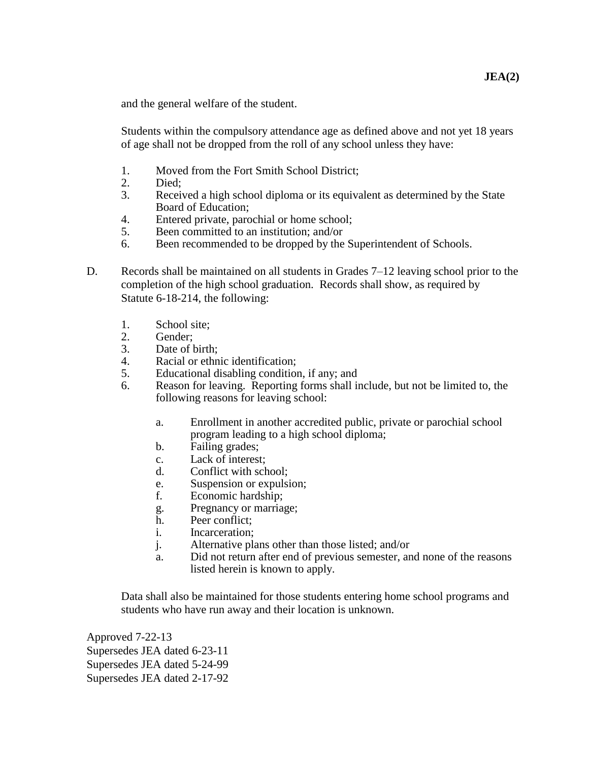and the general welfare of the student.

Students within the compulsory attendance age as defined above and not yet 18 years of age shall not be dropped from the roll of any school unless they have:

- 1. Moved from the Fort Smith School District;
- 2. Died;
- 3. Received a high school diploma or its equivalent as determined by the State Board of Education;
- 4. Entered private, parochial or home school;
- 5. Been committed to an institution; and/or
- 6. Been recommended to be dropped by the Superintendent of Schools.
- D. Records shall be maintained on all students in Grades 7–12 leaving school prior to the completion of the high school graduation. Records shall show, as required by Statute 6-18-214, the following:
	- 1. School site;
	- 2. Gender;
	- 3. Date of birth;
	- 4. Racial or ethnic identification;
	- 5. Educational disabling condition, if any; and
	- 6. Reason for leaving. Reporting forms shall include, but not be limited to, the following reasons for leaving school:
		- a. Enrollment in another accredited public, private or parochial school program leading to a high school diploma;
		- b. Failing grades;
		- c. Lack of interest;
		- d. Conflict with school;
		- e. Suspension or expulsion;
		- f. Economic hardship;
		- g. Pregnancy or marriage;
		- h. Peer conflict;
		- i. Incarceration;
		- j. Alternative plans other than those listed; and/or
		- a. Did not return after end of previous semester, and none of the reasons listed herein is known to apply.

Data shall also be maintained for those students entering home school programs and students who have run away and their location is unknown.

Approved 7-22-13 Supersedes JEA dated 6-23-11 Supersedes JEA dated 5-24-99 Supersedes JEA dated 2-17-92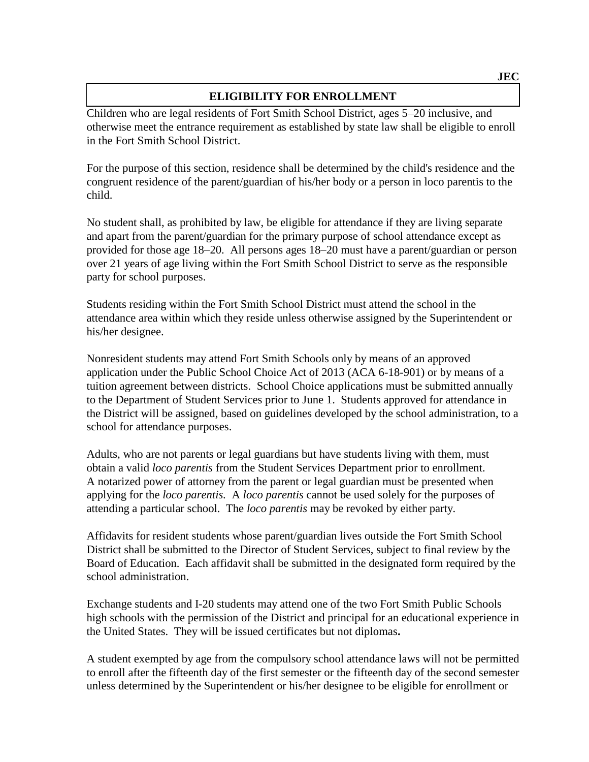## **ELIGIBILITY FOR ENROLLMENT**

Children who are legal residents of Fort Smith School District, ages 5–20 inclusive, and otherwise meet the entrance requirement as established by state law shall be eligible to enroll in the Fort Smith School District.

For the purpose of this section, residence shall be determined by the child's residence and the congruent residence of the parent/guardian of his/her body or a person in loco parentis to the child.

No student shall, as prohibited by law, be eligible for attendance if they are living separate and apart from the parent/guardian for the primary purpose of school attendance except as provided for those age 18–20. All persons ages 18–20 must have a parent/guardian or person over 21 years of age living within the Fort Smith School District to serve as the responsible party for school purposes.

Students residing within the Fort Smith School District must attend the school in the attendance area within which they reside unless otherwise assigned by the Superintendent or his/her designee.

Nonresident students may attend Fort Smith Schools only by means of an approved application under the Public School Choice Act of 2013 (ACA 6-18-901) or by means of a tuition agreement between districts. School Choice applications must be submitted annually to the Department of Student Services prior to June 1. Students approved for attendance in the District will be assigned, based on guidelines developed by the school administration, to a school for attendance purposes.

Adults, who are not parents or legal guardians but have students living with them, must obtain a valid *loco parentis* from the Student Services Department prior to enrollment. A notarized power of attorney from the parent or legal guardian must be presented when applying for the *loco parentis.* A *loco parentis* cannot be used solely for the purposes of attending a particular school. The *loco parentis* may be revoked by either party.

Affidavits for resident students whose parent/guardian lives outside the Fort Smith School District shall be submitted to the Director of Student Services, subject to final review by the Board of Education. Each affidavit shall be submitted in the designated form required by the school administration.

Exchange students and I-20 students may attend one of the two Fort Smith Public Schools high schools with the permission of the District and principal for an educational experience in the United States. They will be issued certificates but not diplomas**.**

A student exempted by age from the compulsory school attendance laws will not be permitted to enroll after the fifteenth day of the first semester or the fifteenth day of the second semester unless determined by the Superintendent or his/her designee to be eligible for enrollment or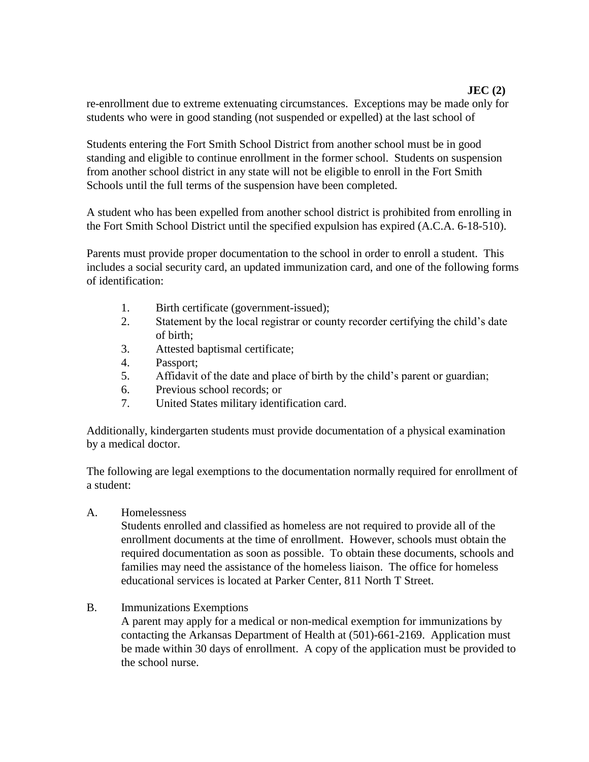## **JEC (2)**

re-enrollment due to extreme extenuating circumstances. Exceptions may be made only for students who were in good standing (not suspended or expelled) at the last school of

Students entering the Fort Smith School District from another school must be in good standing and eligible to continue enrollment in the former school. Students on suspension from another school district in any state will not be eligible to enroll in the Fort Smith Schools until the full terms of the suspension have been completed.

A student who has been expelled from another school district is prohibited from enrolling in the Fort Smith School District until the specified expulsion has expired (A.C.A. 6-18-510).

Parents must provide proper documentation to the school in order to enroll a student. This includes a social security card, an updated immunization card, and one of the following forms of identification:

- 1. Birth certificate (government-issued);
- 2. Statement by the local registrar or county recorder certifying the child's date of birth;
- 3. Attested baptismal certificate;
- 4. Passport;
- 5. Affidavit of the date and place of birth by the child's parent or guardian;
- 6. Previous school records; or
- 7. United States military identification card.

Additionally, kindergarten students must provide documentation of a physical examination by a medical doctor.

The following are legal exemptions to the documentation normally required for enrollment of a student:

A. Homelessness

Students enrolled and classified as homeless are not required to provide all of the enrollment documents at the time of enrollment. However, schools must obtain the required documentation as soon as possible. To obtain these documents, schools and families may need the assistance of the homeless liaison. The office for homeless educational services is located at Parker Center, 811 North T Street.

#### B. Immunizations Exemptions

A parent may apply for a medical or non-medical exemption for immunizations by contacting the Arkansas Department of Health at (501)-661-2169. Application must be made within 30 days of enrollment. A copy of the application must be provided to the school nurse.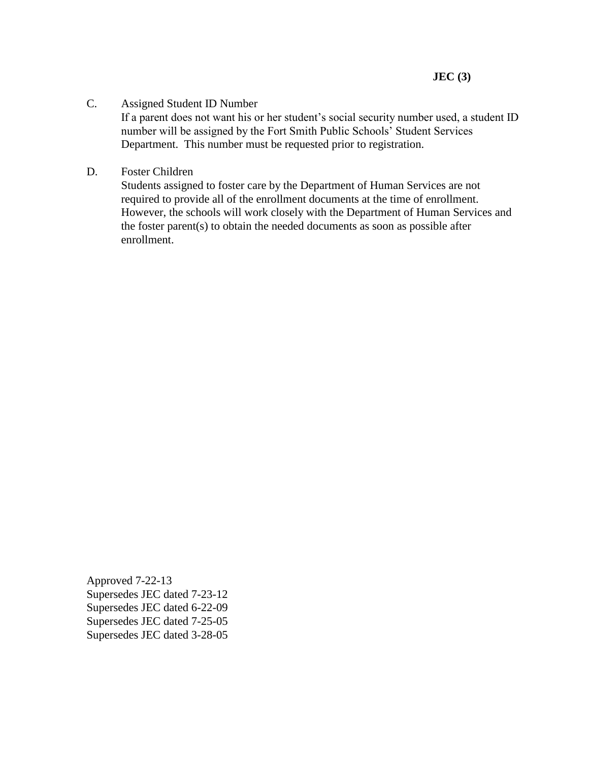#### C. Assigned Student ID Number

If a parent does not want his or her student's social security number used, a student ID number will be assigned by the Fort Smith Public Schools' Student Services Department. This number must be requested prior to registration.

D. Foster Children

Students assigned to foster care by the Department of Human Services are not required to provide all of the enrollment documents at the time of enrollment. However, the schools will work closely with the Department of Human Services and the foster parent(s) to obtain the needed documents as soon as possible after enrollment.

Approved 7-22-13 Supersedes JEC dated 7-23-12 Supersedes JEC dated 6-22-09 Supersedes JEC dated 7-25-05 Supersedes JEC dated 3-28-05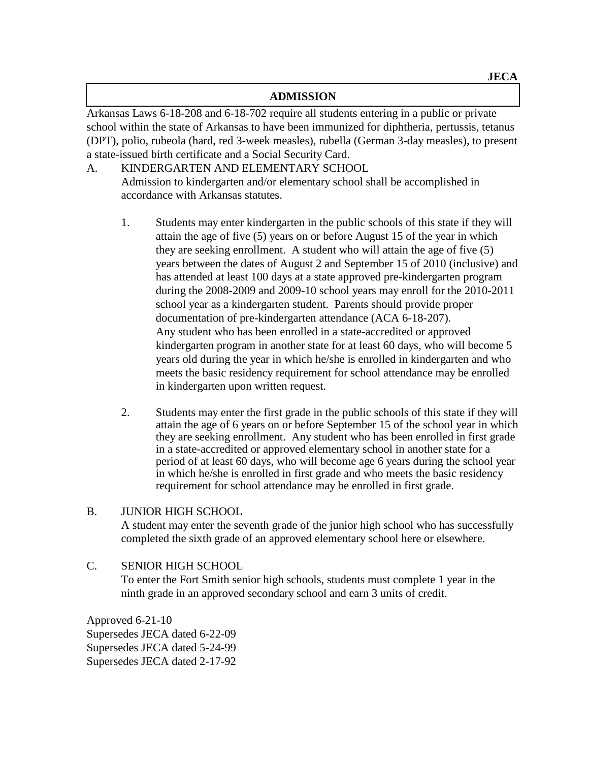#### **ADMISSION**

Arkansas Laws 6-18-208 and 6-18-702 require all students entering in a public or private school within the state of Arkansas to have been immunized for diphtheria, pertussis, tetanus (DPT), polio, rubeola (hard, red 3-week measles), rubella (German 3-day measles), to present a state-issued birth certificate and a Social Security Card.

### A. KINDERGARTEN AND ELEMENTARY SCHOOL Admission to kindergarten and/or elementary school shall be accomplished in accordance with Arkansas statutes.

- 1. Students may enter kindergarten in the public schools of this state if they will attain the age of five (5) years on or before August 15 of the year in which they are seeking enrollment. A student who will attain the age of five (5) years between the dates of August 2 and September 15 of 2010 (inclusive) and has attended at least 100 days at a state approved pre-kindergarten program during the 2008-2009 and 2009-10 school years may enroll for the 2010-2011 school year as a kindergarten student. Parents should provide proper documentation of pre-kindergarten attendance (ACA 6-18-207). Any student who has been enrolled in a state**-**accredited or approved kindergarten program in another state for at least 60 days, who will become 5 years old during the year in which he/she is enrolled in kindergarten and who meets the basic residency requirement for school attendance may be enrolled in kindergarten upon written request.
- 2. Students may enter the first grade in the public schools of this state if they will attain the age of 6 years on or before September 15 of the school year in which they are seeking enrollment. Any student who has been enrolled in first grade in a state-accredited or approved elementary school in another state for a period of at least 60 days, who will become age 6 years during the school year in which he/she is enrolled in first grade and who meets the basic residency requirement for school attendance may be enrolled in first grade.

### B. JUNIOR HIGH SCHOOL

A student may enter the seventh grade of the junior high school who has successfully completed the sixth grade of an approved elementary school here or elsewhere.

# C. SENIOR HIGH SCHOOL To enter the Fort Smith senior high schools, students must complete 1 year in the ninth grade in an approved secondary school and earn 3 units of credit.

Approved 6-21-10 Supersedes JECA dated 6-22-09 Supersedes JECA dated 5-24-99 Supersedes JECA dated 2-17-92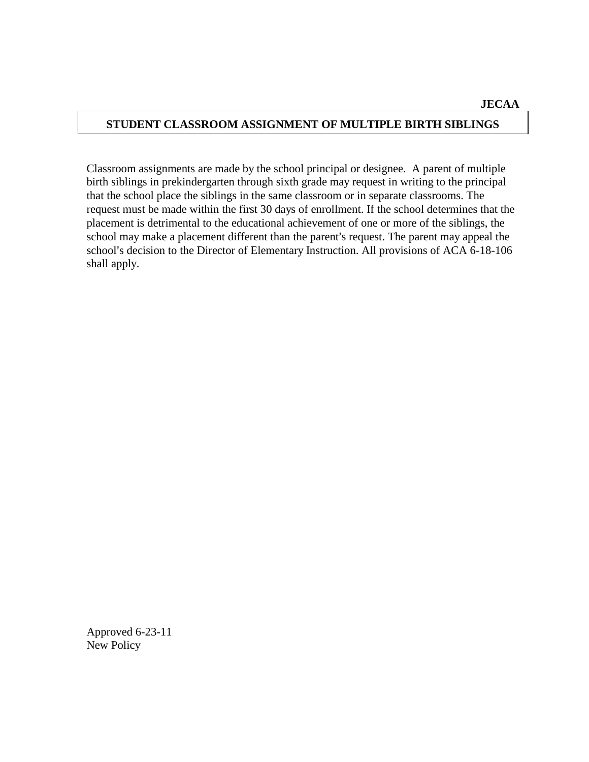## **STUDENT CLASSROOM ASSIGNMENT OF MULTIPLE BIRTH SIBLINGS**

Classroom assignments are made by the school principal or designee. A parent of multiple birth siblings in prekindergarten through sixth grade may request in writing to the principal that the school place the siblings in the same classroom or in separate classrooms. The request must be made within the first 30 days of enrollment. If the school determines that the placement is detrimental to the educational achievement of one or more of the siblings, the school may make a placement different than the parent's request. The parent may appeal the school's decision to the Director of Elementary Instruction. All provisions of ACA 6-18-106 shall apply.

Approved 6-23-11 New Policy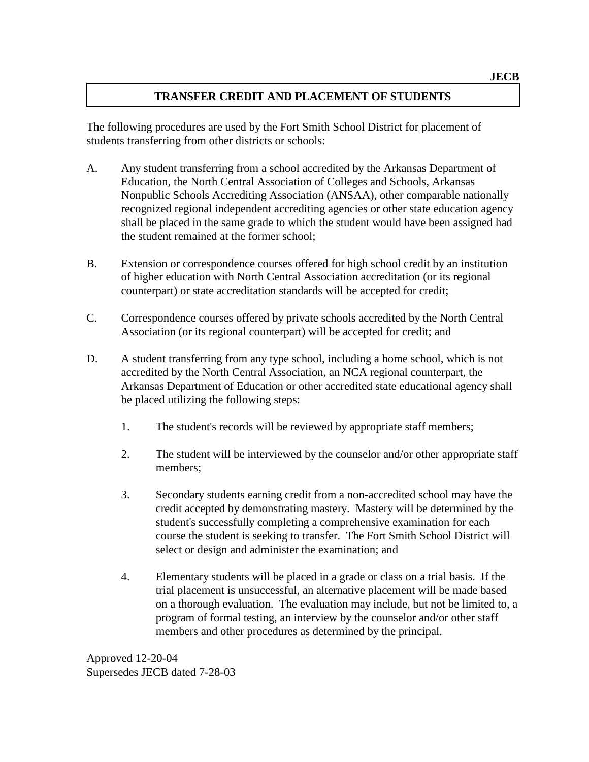## **TRANSFER CREDIT AND PLACEMENT OF STUDENTS**

The following procedures are used by the Fort Smith School District for placement of students transferring from other districts or schools:

- A. Any student transferring from a school accredited by the Arkansas Department of Education, the North Central Association of Colleges and Schools, Arkansas Nonpublic Schools Accrediting Association (ANSAA), other comparable nationally recognized regional independent accrediting agencies or other state education agency shall be placed in the same grade to which the student would have been assigned had the student remained at the former school;
- B. Extension or correspondence courses offered for high school credit by an institution of higher education with North Central Association accreditation (or its regional counterpart) or state accreditation standards will be accepted for credit;
- C. Correspondence courses offered by private schools accredited by the North Central Association (or its regional counterpart) will be accepted for credit; and
- D. A student transferring from any type school, including a home school, which is not accredited by the North Central Association, an NCA regional counterpart, the Arkansas Department of Education or other accredited state educational agency shall be placed utilizing the following steps:
	- 1. The student's records will be reviewed by appropriate staff members;
	- 2. The student will be interviewed by the counselor and/or other appropriate staff members;
	- 3. Secondary students earning credit from a non-accredited school may have the credit accepted by demonstrating mastery. Mastery will be determined by the student's successfully completing a comprehensive examination for each course the student is seeking to transfer. The Fort Smith School District will select or design and administer the examination; and
	- 4. Elementary students will be placed in a grade or class on a trial basis. If the trial placement is unsuccessful, an alternative placement will be made based on a thorough evaluation. The evaluation may include, but not be limited to, a program of formal testing, an interview by the counselor and/or other staff members and other procedures as determined by the principal.

Approved 12-20-04 Supersedes JECB dated 7-28-03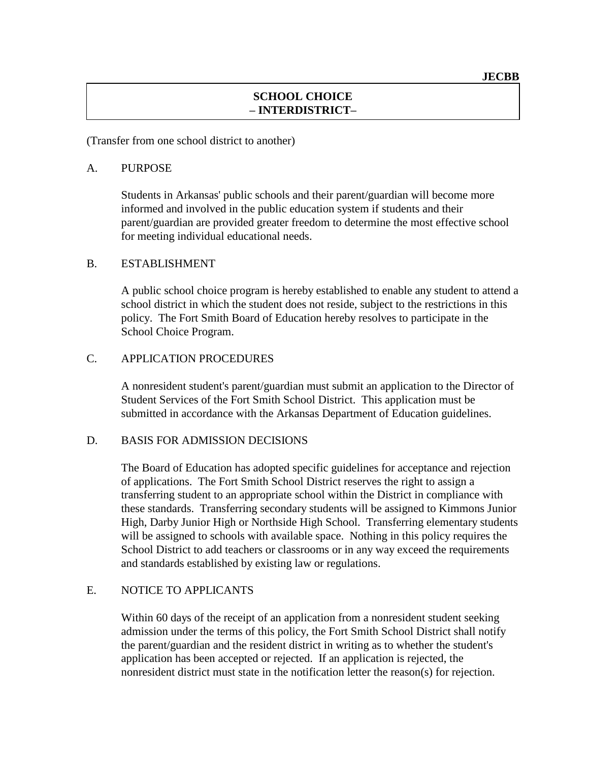### **SCHOOL CHOICE – INTERDISTRICT–**

(Transfer from one school district to another)

#### A. PURPOSE

Students in Arkansas' public schools and their parent/guardian will become more informed and involved in the public education system if students and their parent/guardian are provided greater freedom to determine the most effective school for meeting individual educational needs.

#### B. ESTABLISHMENT

A public school choice program is hereby established to enable any student to attend a school district in which the student does not reside, subject to the restrictions in this policy. The Fort Smith Board of Education hereby resolves to participate in the School Choice Program.

#### C. APPLICATION PROCEDURES

A nonresident student's parent/guardian must submit an application to the Director of Student Services of the Fort Smith School District. This application must be submitted in accordance with the Arkansas Department of Education guidelines.

#### D. BASIS FOR ADMISSION DECISIONS

The Board of Education has adopted specific guidelines for acceptance and rejection of applications. The Fort Smith School District reserves the right to assign a transferring student to an appropriate school within the District in compliance with these standards. Transferring secondary students will be assigned to Kimmons Junior High, Darby Junior High or Northside High School. Transferring elementary students will be assigned to schools with available space. Nothing in this policy requires the School District to add teachers or classrooms or in any way exceed the requirements and standards established by existing law or regulations.

#### E. NOTICE TO APPLICANTS

Within 60 days of the receipt of an application from a nonresident student seeking admission under the terms of this policy, the Fort Smith School District shall notify the parent/guardian and the resident district in writing as to whether the student's application has been accepted or rejected. If an application is rejected, the nonresident district must state in the notification letter the reason(s) for rejection.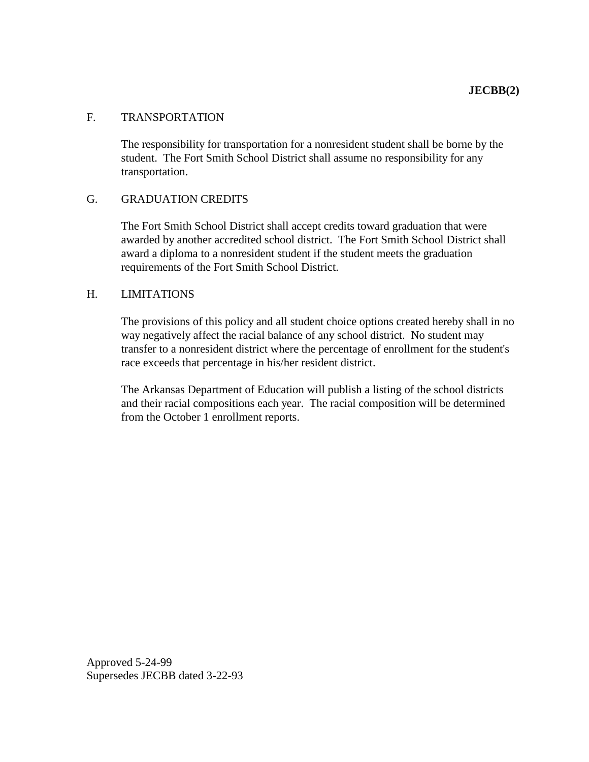#### F. TRANSPORTATION

The responsibility for transportation for a nonresident student shall be borne by the student. The Fort Smith School District shall assume no responsibility for any transportation.

#### G. GRADUATION CREDITS

The Fort Smith School District shall accept credits toward graduation that were awarded by another accredited school district. The Fort Smith School District shall award a diploma to a nonresident student if the student meets the graduation requirements of the Fort Smith School District.

#### H. LIMITATIONS

The provisions of this policy and all student choice options created hereby shall in no way negatively affect the racial balance of any school district. No student may transfer to a nonresident district where the percentage of enrollment for the student's race exceeds that percentage in his/her resident district.

The Arkansas Department of Education will publish a listing of the school districts and their racial compositions each year. The racial composition will be determined from the October 1 enrollment reports.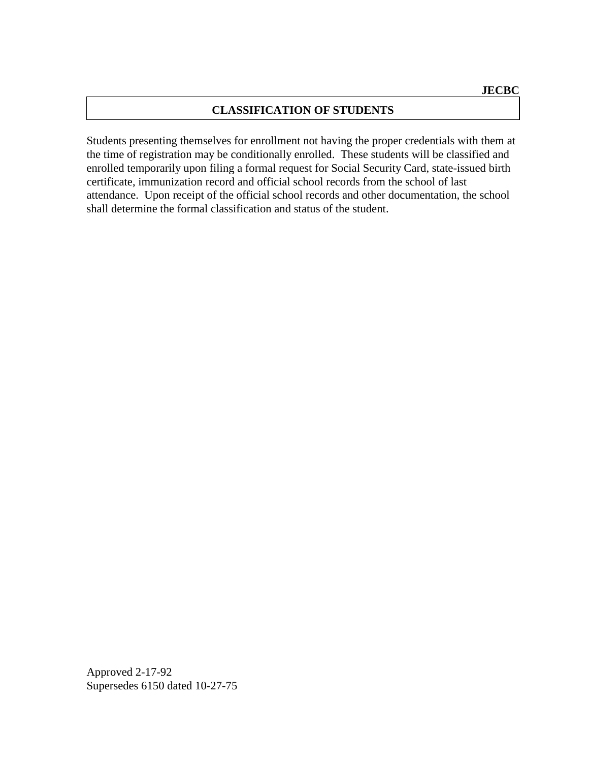## **CLASSIFICATION OF STUDENTS**

Students presenting themselves for enrollment not having the proper credentials with them at the time of registration may be conditionally enrolled. These students will be classified and enrolled temporarily upon filing a formal request for Social Security Card, state-issued birth certificate, immunization record and official school records from the school of last attendance. Upon receipt of the official school records and other documentation, the school shall determine the formal classification and status of the student.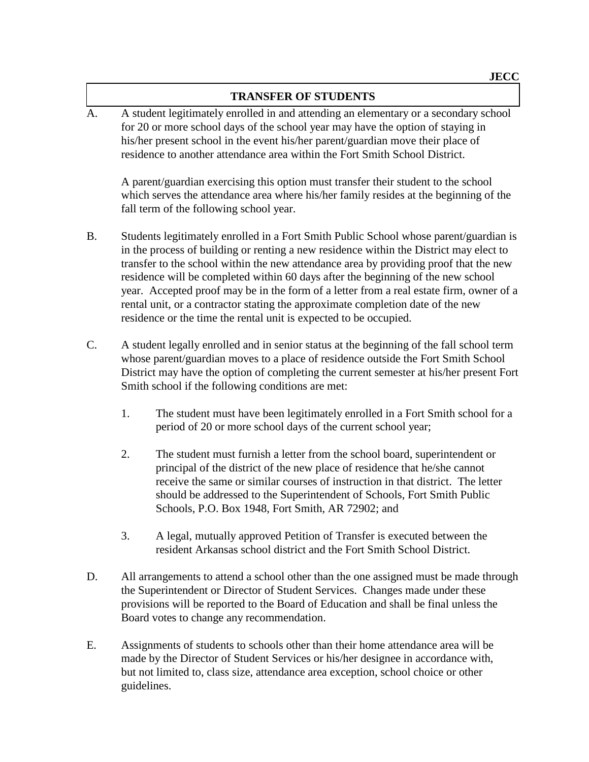#### **TRANSFER OF STUDENTS**

A. A student legitimately enrolled in and attending an elementary or a secondary school for 20 or more school days of the school year may have the option of staying in his/her present school in the event his/her parent/guardian move their place of residence to another attendance area within the Fort Smith School District.

A parent/guardian exercising this option must transfer their student to the school which serves the attendance area where his/her family resides at the beginning of the fall term of the following school year.

- B. Students legitimately enrolled in a Fort Smith Public School whose parent/guardian is in the process of building or renting a new residence within the District may elect to transfer to the school within the new attendance area by providing proof that the new residence will be completed within 60 days after the beginning of the new school year. Accepted proof may be in the form of a letter from a real estate firm, owner of a rental unit, or a contractor stating the approximate completion date of the new residence or the time the rental unit is expected to be occupied.
- C. A student legally enrolled and in senior status at the beginning of the fall school term whose parent/guardian moves to a place of residence outside the Fort Smith School District may have the option of completing the current semester at his/her present Fort Smith school if the following conditions are met:
	- 1. The student must have been legitimately enrolled in a Fort Smith school for a period of 20 or more school days of the current school year;
	- 2. The student must furnish a letter from the school board, superintendent or principal of the district of the new place of residence that he/she cannot receive the same or similar courses of instruction in that district. The letter should be addressed to the Superintendent of Schools, Fort Smith Public Schools, P.O. Box 1948, Fort Smith, AR 72902; and
	- 3. A legal, mutually approved Petition of Transfer is executed between the resident Arkansas school district and the Fort Smith School District.
- D. All arrangements to attend a school other than the one assigned must be made through the Superintendent or Director of Student Services. Changes made under these provisions will be reported to the Board of Education and shall be final unless the Board votes to change any recommendation.
- E. Assignments of students to schools other than their home attendance area will be made by the Director of Student Services or his/her designee in accordance with, but not limited to, class size, attendance area exception, school choice or other guidelines.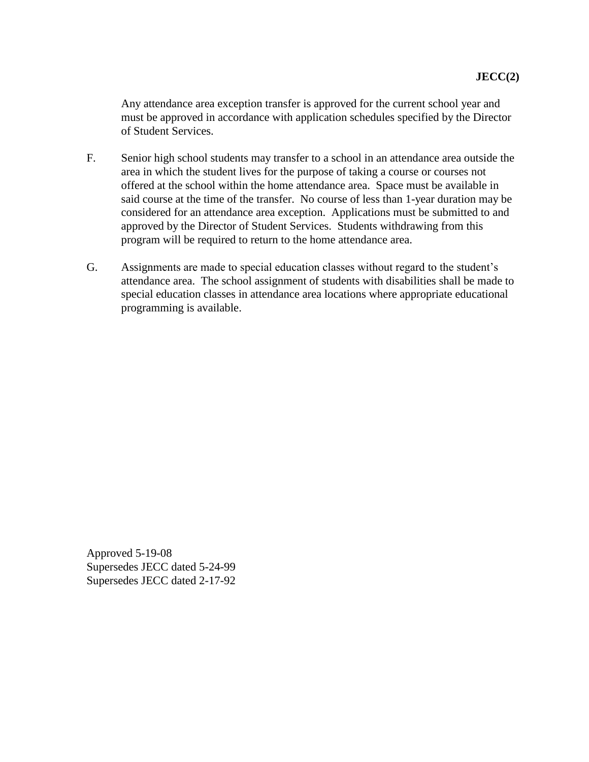Any attendance area exception transfer is approved for the current school year and must be approved in accordance with application schedules specified by the Director of Student Services.

- F. Senior high school students may transfer to a school in an attendance area outside the area in which the student lives for the purpose of taking a course or courses not offered at the school within the home attendance area. Space must be available in said course at the time of the transfer. No course of less than 1-year duration may be considered for an attendance area exception. Applications must be submitted to and approved by the Director of Student Services. Students withdrawing from this program will be required to return to the home attendance area.
- G. Assignments are made to special education classes without regard to the student's attendance area. The school assignment of students with disabilities shall be made to special education classes in attendance area locations where appropriate educational programming is available.

Approved 5-19-08 Supersedes JECC dated 5-24-99 Supersedes JECC dated 2-17-92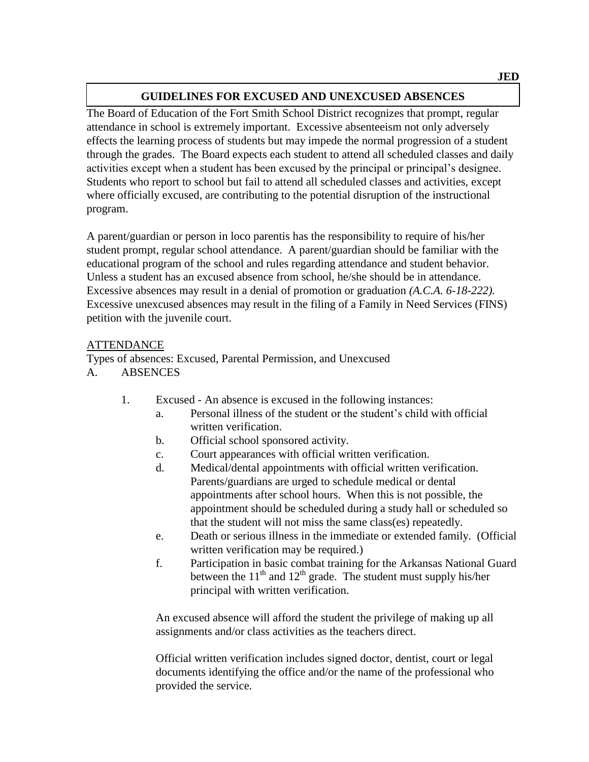## **GUIDELINES FOR EXCUSED AND UNEXCUSED ABSENCES**

The Board of Education of the Fort Smith School District recognizes that prompt, regular attendance in school is extremely important. Excessive absenteeism not only adversely effects the learning process of students but may impede the normal progression of a student through the grades. The Board expects each student to attend all scheduled classes and daily activities except when a student has been excused by the principal or principal's designee. Students who report to school but fail to attend all scheduled classes and activities, except where officially excused, are contributing to the potential disruption of the instructional program.

A parent/guardian or person in loco parentis has the responsibility to require of his/her student prompt, regular school attendance. A parent/guardian should be familiar with the educational program of the school and rules regarding attendance and student behavior. Unless a student has an excused absence from school, he/she should be in attendance. Excessive absences may result in a denial of promotion or graduation *(A.C.A. 6-18-222).* Excessive unexcused absences may result in the filing of a Family in Need Services (FINS) petition with the juvenile court.

### ATTENDANCE

Types of absences: Excused, Parental Permission, and Unexcused A. ABSENCES

- 1. Excused An absence is excused in the following instances:
	- a. Personal illness of the student or the student's child with official written verification.
	- b. Official school sponsored activity.
	- c. Court appearances with official written verification.
	- d. Medical/dental appointments with official written verification. Parents/guardians are urged to schedule medical or dental appointments after school hours. When this is not possible, the appointment should be scheduled during a study hall or scheduled so that the student will not miss the same class(es) repeatedly.
	- e. Death or serious illness in the immediate or extended family. (Official written verification may be required.)
	- f. Participation in basic combat training for the Arkansas National Guard between the  $11<sup>th</sup>$  and  $12<sup>th</sup>$  grade. The student must supply his/her principal with written verification.

An excused absence will afford the student the privilege of making up all assignments and/or class activities as the teachers direct.

Official written verification includes signed doctor, dentist, court or legal documents identifying the office and/or the name of the professional who provided the service.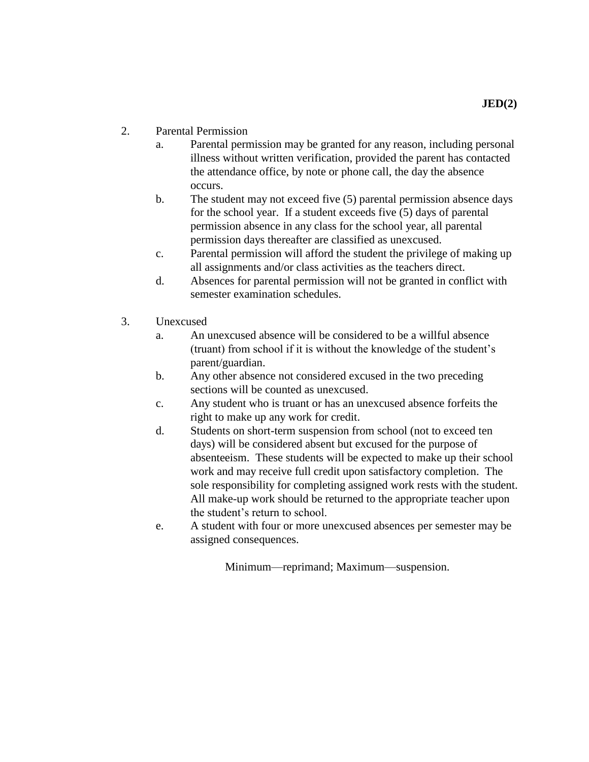- a. Parental permission may be granted for any reason, including personal illness without written verification, provided the parent has contacted the attendance office, by note or phone call, the day the absence occurs.
- b. The student may not exceed five (5) parental permission absence days for the school year. If a student exceeds five (5) days of parental permission absence in any class for the school year, all parental permission days thereafter are classified as unexcused.
- c. Parental permission will afford the student the privilege of making up all assignments and/or class activities as the teachers direct.
- d. Absences for parental permission will not be granted in conflict with semester examination schedules.
- 3. Unexcused
	- a. An unexcused absence will be considered to be a willful absence (truant) from school if it is without the knowledge of the student's parent/guardian.
	- b. Any other absence not considered excused in the two preceding sections will be counted as unexcused.
	- c. Any student who is truant or has an unexcused absence forfeits the right to make up any work for credit.
	- d. Students on short-term suspension from school (not to exceed ten days) will be considered absent but excused for the purpose of absenteeism. These students will be expected to make up their school work and may receive full credit upon satisfactory completion. The sole responsibility for completing assigned work rests with the student. All make-up work should be returned to the appropriate teacher upon the student's return to school.
	- e. A student with four or more unexcused absences per semester may be assigned consequences.

Minimum—reprimand; Maximum—suspension.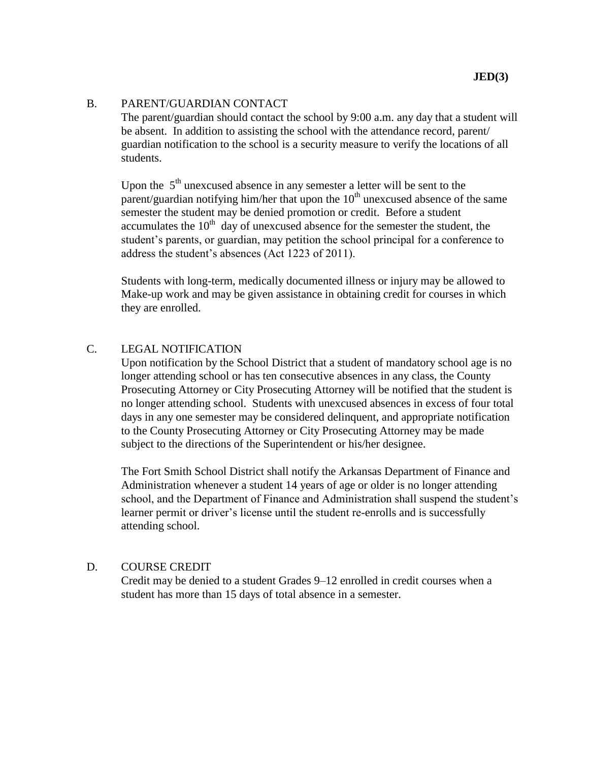#### B. PARENT/GUARDIAN CONTACT

The parent/guardian should contact the school by 9:00 a.m. any day that a student will be absent. In addition to assisting the school with the attendance record, parent/ guardian notification to the school is a security measure to verify the locations of all students.

Upon the  $5<sup>th</sup>$  unexcused absence in any semester a letter will be sent to the parent/guardian notifying him/her that upon the  $10<sup>th</sup>$  unexcused absence of the same semester the student may be denied promotion or credit. Before a student accumulates the  $10<sup>th</sup>$  day of unexcused absence for the semester the student, the student's parents, or guardian, may petition the school principal for a conference to address the student's absences (Act 1223 of 2011).

Students with long-term, medically documented illness or injury may be allowed to Make-up work and may be given assistance in obtaining credit for courses in which they are enrolled.

#### C. LEGAL NOTIFICATION

Upon notification by the School District that a student of mandatory school age is no longer attending school or has ten consecutive absences in any class, the County Prosecuting Attorney or City Prosecuting Attorney will be notified that the student is no longer attending school. Students with unexcused absences in excess of four total days in any one semester may be considered delinquent, and appropriate notification to the County Prosecuting Attorney or City Prosecuting Attorney may be made subject to the directions of the Superintendent or his/her designee.

The Fort Smith School District shall notify the Arkansas Department of Finance and Administration whenever a student 14 years of age or older is no longer attending school, and the Department of Finance and Administration shall suspend the student's learner permit or driver's license until the student re-enrolls and is successfully attending school.

#### D. COURSE CREDIT

Credit may be denied to a student Grades 9–12 enrolled in credit courses when a student has more than 15 days of total absence in a semester.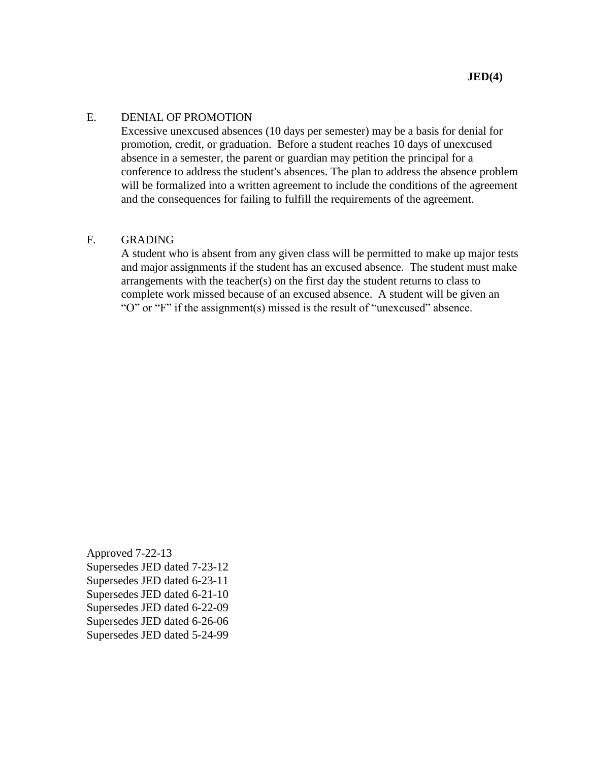#### E. DENIAL OF PROMOTION

Excessive unexcused absences (10 days per semester) may be a basis for denial for promotion, credit, or graduation. Before a student reaches 10 days of unexcused absence in a semester, the parent or guardian may petition the principal for a conference to address the student's absences. The plan to address the absence problem will be formalized into a written agreement to include the conditions of the agreement and the consequences for failing to fulfill the requirements of the agreement.

#### F. GRADING

A student who is absent from any given class will be permitted to make up major tests and major assignments if the student has an excused absence. The student must make arrangements with the teacher(s) on the first day the student returns to class to complete work missed because of an excused absence. A student will be given an "O" or "F" if the assignment(s) missed is the result of "unexcused" absence.

Approved 7-22-13 Supersedes JED dated 7-23-12 Supersedes JED dated 6-23-11 Supersedes JED dated 6-21-10 Supersedes JED dated 6-22-09 Supersedes JED dated 6-26-06 Supersedes JED dated 5-24-99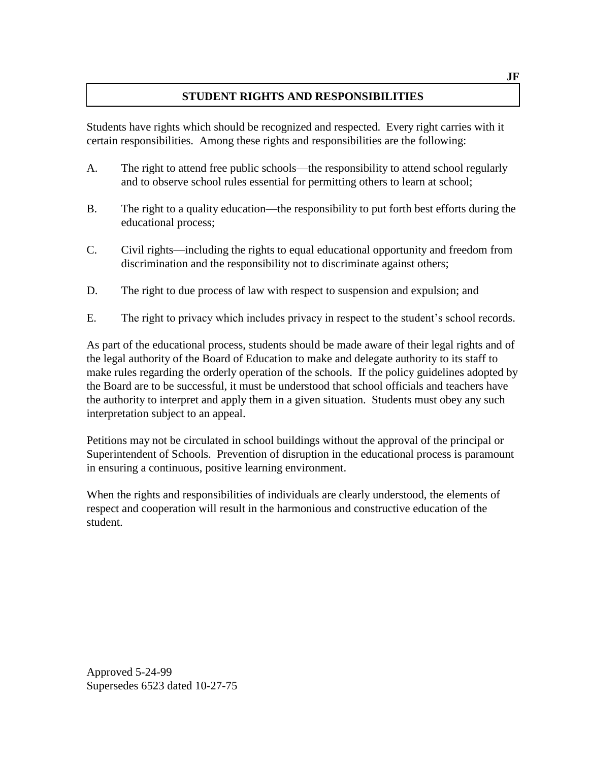## **STUDENT RIGHTS AND RESPONSIBILITIES**

Students have rights which should be recognized and respected. Every right carries with it certain responsibilities. Among these rights and responsibilities are the following:

- A. The right to attend free public schools—the responsibility to attend school regularly and to observe school rules essential for permitting others to learn at school;
- B. The right to a quality education—the responsibility to put forth best efforts during the educational process;
- C. Civil rights—including the rights to equal educational opportunity and freedom from discrimination and the responsibility not to discriminate against others;
- D. The right to due process of law with respect to suspension and expulsion; and
- E. The right to privacy which includes privacy in respect to the student's school records.

As part of the educational process, students should be made aware of their legal rights and of the legal authority of the Board of Education to make and delegate authority to its staff to make rules regarding the orderly operation of the schools. If the policy guidelines adopted by the Board are to be successful, it must be understood that school officials and teachers have the authority to interpret and apply them in a given situation. Students must obey any such interpretation subject to an appeal.

Petitions may not be circulated in school buildings without the approval of the principal or Superintendent of Schools. Prevention of disruption in the educational process is paramount in ensuring a continuous, positive learning environment.

When the rights and responsibilities of individuals are clearly understood, the elements of respect and cooperation will result in the harmonious and constructive education of the student.

Approved 5-24-99 Supersedes 6523 dated 10-27-75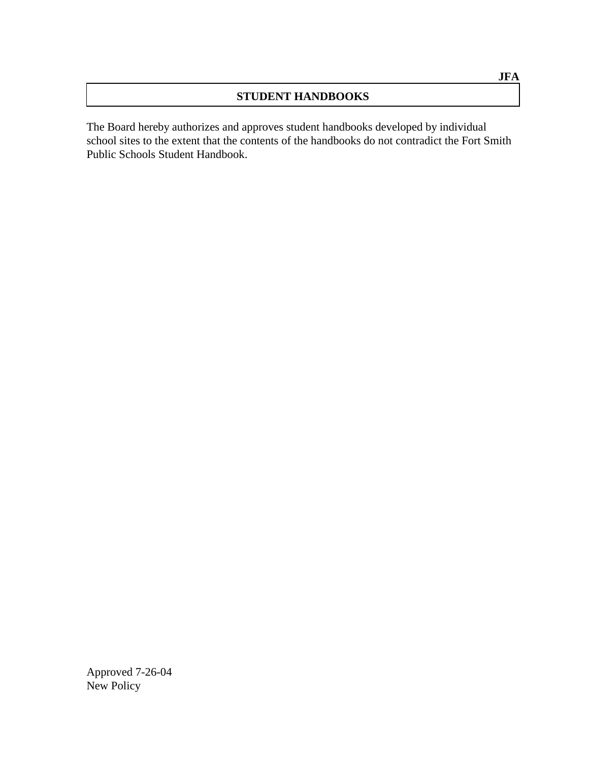## **STUDENT HANDBOOKS**

The Board hereby authorizes and approves student handbooks developed by individual school sites to the extent that the contents of the handbooks do not contradict the Fort Smith Public Schools Student Handbook.

Approved 7-26-04 New Policy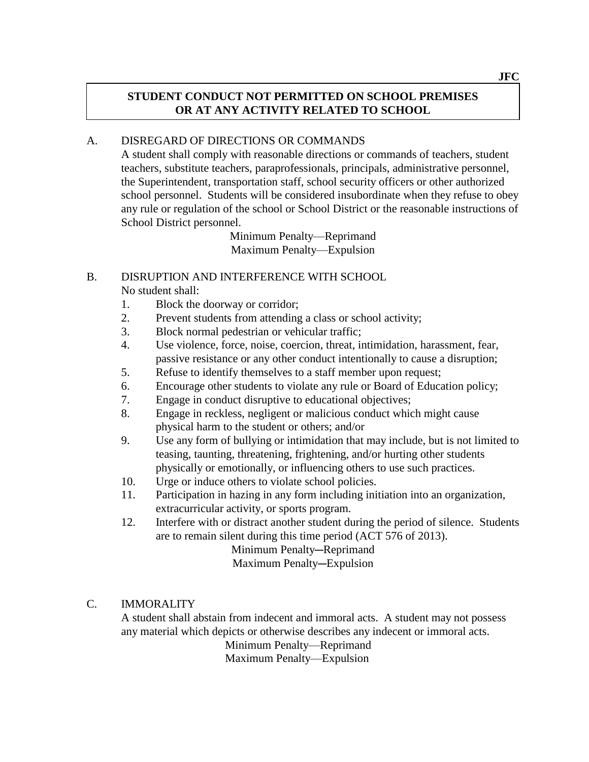## **STUDENT CONDUCT NOT PERMITTED ON SCHOOL PREMISES OR AT ANY ACTIVITY RELATED TO SCHOOL**

### A. DISREGARD OF DIRECTIONS OR COMMANDS

A student shall comply with reasonable directions or commands of teachers, student teachers, substitute teachers, paraprofessionals, principals, administrative personnel, the Superintendent, transportation staff, school security officers or other authorized school personnel. Students will be considered insubordinate when they refuse to obey any rule or regulation of the school or School District or the reasonable instructions of School District personnel.

> Minimum Penalty—Reprimand Maximum Penalty—Expulsion

### B. DISRUPTION AND INTERFERENCE WITH SCHOOL No student shall:

- 1. Block the doorway or corridor;
- 2. Prevent students from attending a class or school activity;
- 3. Block normal pedestrian or vehicular traffic;
- 4. Use violence, force, noise, coercion, threat, intimidation, harassment, fear, passive resistance or any other conduct intentionally to cause a disruption;
- 5. Refuse to identify themselves to a staff member upon request;
- 6. Encourage other students to violate any rule or Board of Education policy;
- 7. Engage in conduct disruptive to educational objectives;
- 8. Engage in reckless, negligent or malicious conduct which might cause physical harm to the student or others; and/or
- 9. Use any form of bullying or intimidation that may include, but is not limited to teasing, taunting, threatening, frightening, and/or hurting other students physically or emotionally, or influencing others to use such practices.
- 10. Urge or induce others to violate school policies.
- 11. Participation in hazing in any form including initiation into an organization, extracurricular activity, or sports program.
- 12. Interfere with or distract another student during the period of silence. Students are to remain silent during this time period (ACT 576 of 2013).

Minimum Penalty-Reprimand

Maximum Penalty-Expulsion

### C. IMMORALITY

A student shall abstain from indecent and immoral acts. A student may not possess any material which depicts or otherwise describes any indecent or immoral acts.

Minimum Penalty—Reprimand

Maximum Penalty—Expulsion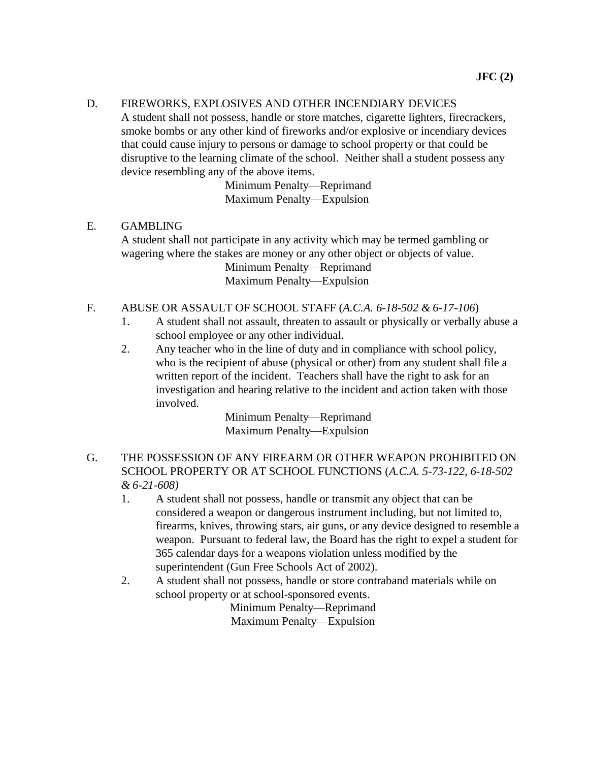#### D. FIREWORKS, EXPLOSIVES AND OTHER INCENDIARY DEVICES

A student shall not possess, handle or store matches, cigarette lighters, firecrackers, smoke bombs or any other kind of fireworks and/or explosive or incendiary devices that could cause injury to persons or damage to school property or that could be disruptive to the learning climate of the school. Neither shall a student possess any device resembling any of the above items.

> Minimum Penalty—Reprimand Maximum Penalty—Expulsion

#### E. GAMBLING

A student shall not participate in any activity which may be termed gambling or wagering where the stakes are money or any other object or objects of value. Minimum Penalty—Reprimand

Maximum Penalty—Expulsion

### F. ABUSE OR ASSAULT OF SCHOOL STAFF (*A.C.A. 6-18-502 & 6-17-106*)

- 1. A student shall not assault, threaten to assault or physically or verbally abuse a school employee or any other individual.
- 2. Any teacher who in the line of duty and in compliance with school policy, who is the recipient of abuse (physical or other) from any student shall file a written report of the incident. Teachers shall have the right to ask for an investigation and hearing relative to the incident and action taken with those involved.

Minimum Penalty—Reprimand Maximum Penalty—Expulsion

## G. THE POSSESSION OF ANY FIREARM OR OTHER WEAPON PROHIBITED ON SCHOOL PROPERTY OR AT SCHOOL FUNCTIONS (*A.C.A. 5-73-122, 6-18-502 & 6-21-608)*

- 1. A student shall not possess, handle or transmit any object that can be considered a weapon or dangerous instrument including, but not limited to, firearms, knives, throwing stars, air guns, or any device designed to resemble a weapon. Pursuant to federal law, the Board has the right to expel a student for 365 calendar days for a weapons violation unless modified by the superintendent (Gun Free Schools Act of 2002).
- 2. A student shall not possess, handle or store contraband materials while on school property or at school-sponsored events.

Minimum Penalty—Reprimand Maximum Penalty—Expulsion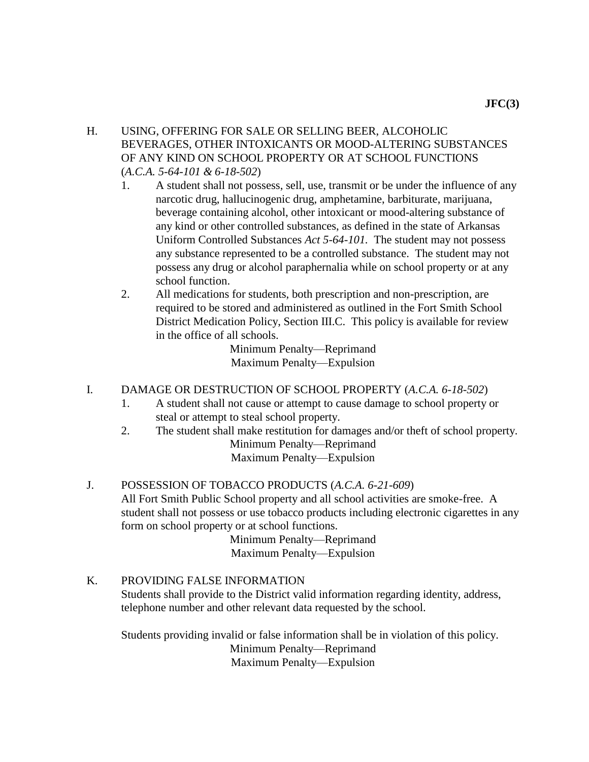- H. USING, OFFERING FOR SALE OR SELLING BEER, ALCOHOLIC BEVERAGES, OTHER INTOXICANTS OR MOOD-ALTERING SUBSTANCES OF ANY KIND ON SCHOOL PROPERTY OR AT SCHOOL FUNCTIONS (*A.C.A. 5-64-101 & 6-18-502*)
	- 1. A student shall not possess, sell, use, transmit or be under the influence of any narcotic drug, hallucinogenic drug, amphetamine, barbiturate, marijuana, beverage containing alcohol, other intoxicant or mood-altering substance of any kind or other controlled substances, as defined in the state of Arkansas Uniform Controlled Substances *Act 5-64-101.* The student may not possess any substance represented to be a controlled substance. The student may not possess any drug or alcohol paraphernalia while on school property or at any school function.
	- 2. All medications for students, both prescription and non-prescription, are required to be stored and administered as outlined in the Fort Smith School District Medication Policy, Section III.C. This policy is available for review in the office of all schools.

Minimum Penalty—Reprimand Maximum Penalty—Expulsion

### I. DAMAGE OR DESTRUCTION OF SCHOOL PROPERTY (*A.C.A. 6-18-502*)

- 1. A student shall not cause or attempt to cause damage to school property or steal or attempt to steal school property.
- 2. The student shall make restitution for damages and/or theft of school property. Minimum Penalty—Reprimand Maximum Penalty—Expulsion
- J. POSSESSION OF TOBACCO PRODUCTS (*A.C.A. 6-21-609*) All Fort Smith Public School property and all school activities are smoke-free. A student shall not possess or use tobacco products including electronic cigarettes in any form on school property or at school functions.

Minimum Penalty—Reprimand Maximum Penalty—Expulsion

### K. PROVIDING FALSE INFORMATION

Students shall provide to the District valid information regarding identity, address, telephone number and other relevant data requested by the school.

Students providing invalid or false information shall be in violation of this policy. Minimum Penalty—Reprimand Maximum Penalty—Expulsion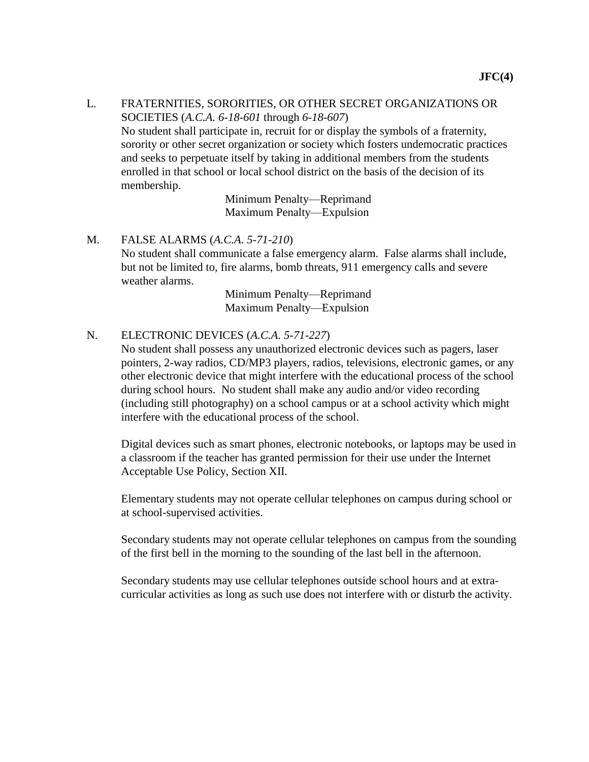### L. FRATERNITIES, SORORITIES, OR OTHER SECRET ORGANIZATIONS OR SOCIETIES (*A.C.A. 6-18-601* through *6-18-607*) No student shall participate in, recruit for or display the symbols of a fraternity, sorority or other secret organization or society which fosters undemocratic practices and seeks to perpetuate itself by taking in additional members from the students enrolled in that school or local school district on the basis of the decision of its membership.

Minimum Penalty—Reprimand Maximum Penalty—Expulsion

### M. FALSE ALARMS (*A.C.A. 5-71-210*)

No student shall communicate a false emergency alarm. False alarms shall include, but not be limited to, fire alarms, bomb threats, 911 emergency calls and severe weather alarms.

> Minimum Penalty—Reprimand Maximum Penalty—Expulsion

### N. ELECTRONIC DEVICES (*A.C.A. 5-71-227*)

No student shall possess any unauthorized electronic devices such as pagers, laser pointers, 2-way radios, CD/MP3 players, radios, televisions, electronic games, or any other electronic device that might interfere with the educational process of the school during school hours. No student shall make any audio and/or video recording (including still photography) on a school campus or at a school activity which might interfere with the educational process of the school.

Digital devices such as smart phones, electronic notebooks, or laptops may be used in a classroom if the teacher has granted permission for their use under the Internet Acceptable Use Policy, Section XII.

Elementary students may not operate cellular telephones on campus during school or at school-supervised activities.

Secondary students may not operate cellular telephones on campus from the sounding of the first bell in the morning to the sounding of the last bell in the afternoon.

Secondary students may use cellular telephones outside school hours and at extracurricular activities as long as such use does not interfere with or disturb the activity.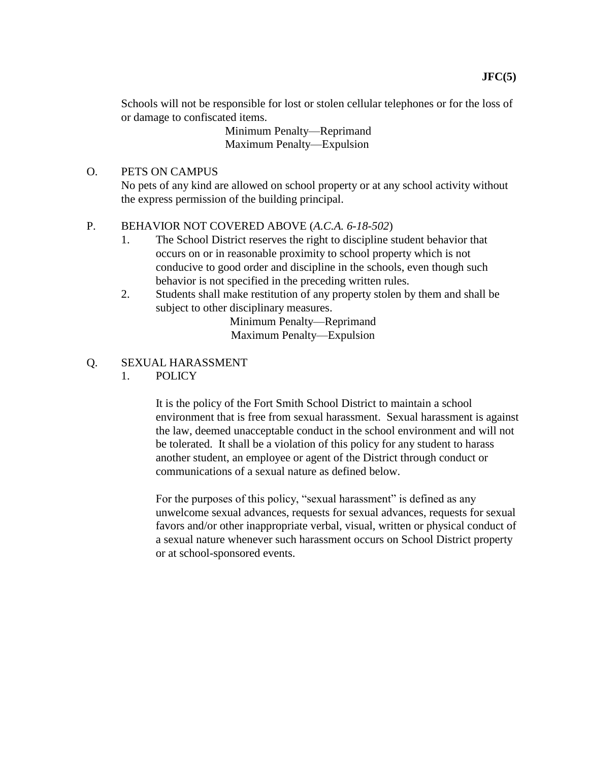Schools will not be responsible for lost or stolen cellular telephones or for the loss of or damage to confiscated items.

> Minimum Penalty—Reprimand Maximum Penalty—Expulsion

### O. PETS ON CAMPUS

No pets of any kind are allowed on school property or at any school activity without the express permission of the building principal.

### P. BEHAVIOR NOT COVERED ABOVE (*A.C.A. 6-18-502*)

- 1. The School District reserves the right to discipline student behavior that occurs on or in reasonable proximity to school property which is not conducive to good order and discipline in the schools, even though such behavior is not specified in the preceding written rules.
- 2. Students shall make restitution of any property stolen by them and shall be subject to other disciplinary measures.

Minimum Penalty—Reprimand Maximum Penalty—Expulsion

- Q. SEXUAL HARASSMENT
	- 1. POLICY

It is the policy of the Fort Smith School District to maintain a school environment that is free from sexual harassment. Sexual harassment is against the law, deemed unacceptable conduct in the school environment and will not be tolerated. It shall be a violation of this policy for any student to harass another student, an employee or agent of the District through conduct or communications of a sexual nature as defined below.

For the purposes of this policy, "sexual harassment" is defined as any unwelcome sexual advances, requests for sexual advances, requests for sexual favors and/or other inappropriate verbal, visual, written or physical conduct of a sexual nature whenever such harassment occurs on School District property or at school-sponsored events.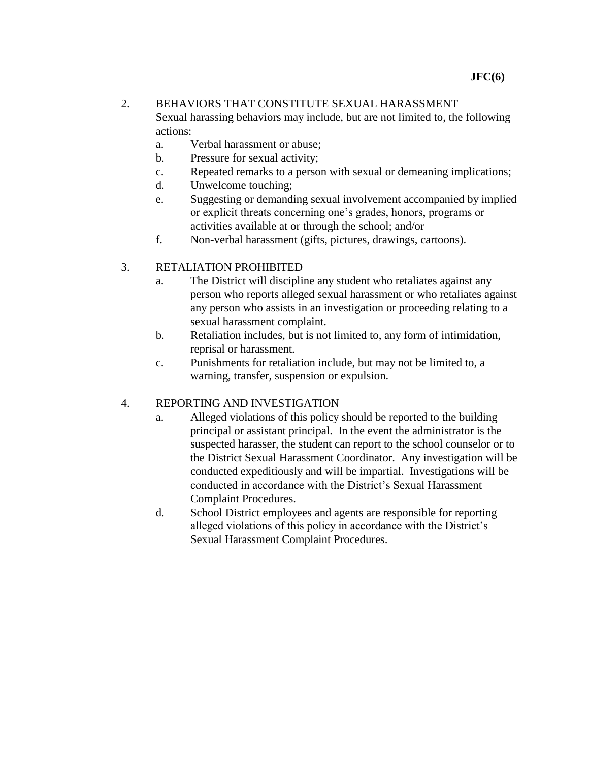### 2. BEHAVIORS THAT CONSTITUTE SEXUAL HARASSMENT

Sexual harassing behaviors may include, but are not limited to, the following actions:

- a. Verbal harassment or abuse;
- b. Pressure for sexual activity;
- c. Repeated remarks to a person with sexual or demeaning implications;
- d. Unwelcome touching;
- e. Suggesting or demanding sexual involvement accompanied by implied or explicit threats concerning one's grades, honors, programs or activities available at or through the school; and/or
- f. Non-verbal harassment (gifts, pictures, drawings, cartoons).

## 3. RETALIATION PROHIBITED

- a. The District will discipline any student who retaliates against any person who reports alleged sexual harassment or who retaliates against any person who assists in an investigation or proceeding relating to a sexual harassment complaint.
- b. Retaliation includes, but is not limited to, any form of intimidation, reprisal or harassment.
- c. Punishments for retaliation include, but may not be limited to, a warning, transfer, suspension or expulsion.

### 4. REPORTING AND INVESTIGATION

- a. Alleged violations of this policy should be reported to the building principal or assistant principal. In the event the administrator is the suspected harasser, the student can report to the school counselor or to the District Sexual Harassment Coordinator. Any investigation will be conducted expeditiously and will be impartial. Investigations will be conducted in accordance with the District's Sexual Harassment Complaint Procedures.
- d. School District employees and agents are responsible for reporting alleged violations of this policy in accordance with the District's Sexual Harassment Complaint Procedures.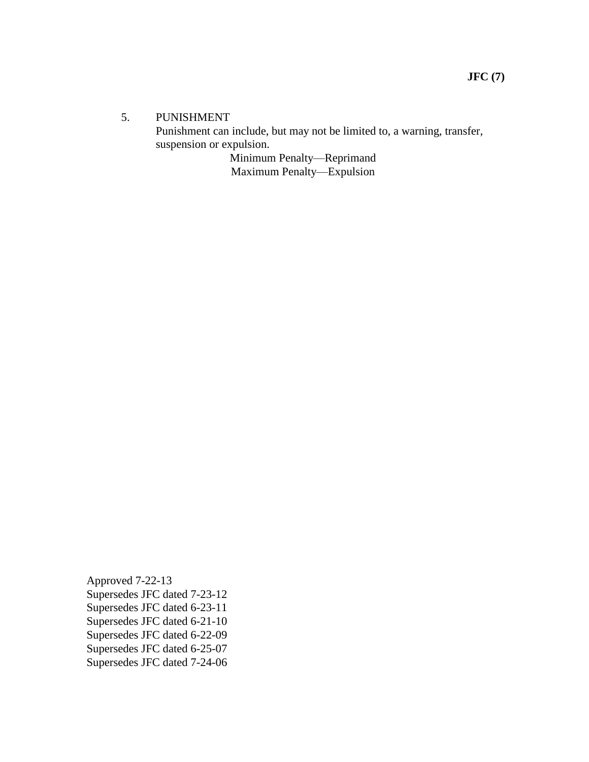#### 5. PUNISHMENT

Punishment can include, but may not be limited to, a warning, transfer, suspension or expulsion.

Minimum Penalty—Reprimand Maximum Penalty—Expulsion

Approved 7-22-13 Supersedes JFC dated 7-23-12 Supersedes JFC dated 6-23-11 Supersedes JFC dated 6-21-10 Supersedes JFC dated 6-22-09 Supersedes JFC dated 6-25-07 Supersedes JFC dated 7-24-06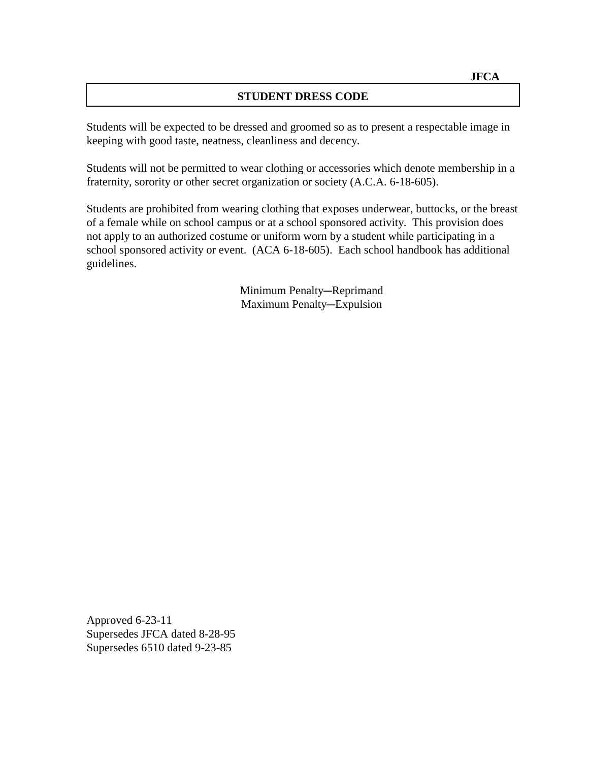### **STUDENT DRESS CODE**

Students will be expected to be dressed and groomed so as to present a respectable image in keeping with good taste, neatness, cleanliness and decency.

Students will not be permitted to wear clothing or accessories which denote membership in a fraternity, sorority or other secret organization or society (A.C.A. 6-18-605).

Students are prohibited from wearing clothing that exposes underwear, buttocks, or the breast of a female while on school campus or at a school sponsored activity. This provision does not apply to an authorized costume or uniform worn by a student while participating in a school sponsored activity or event. (ACA 6-18-605). Each school handbook has additional guidelines.

> Minimum Penalty-Reprimand Maximum Penalty-Expulsion

Approved 6-23-11 Supersedes JFCA dated 8-28-95 Supersedes 6510 dated 9-23-85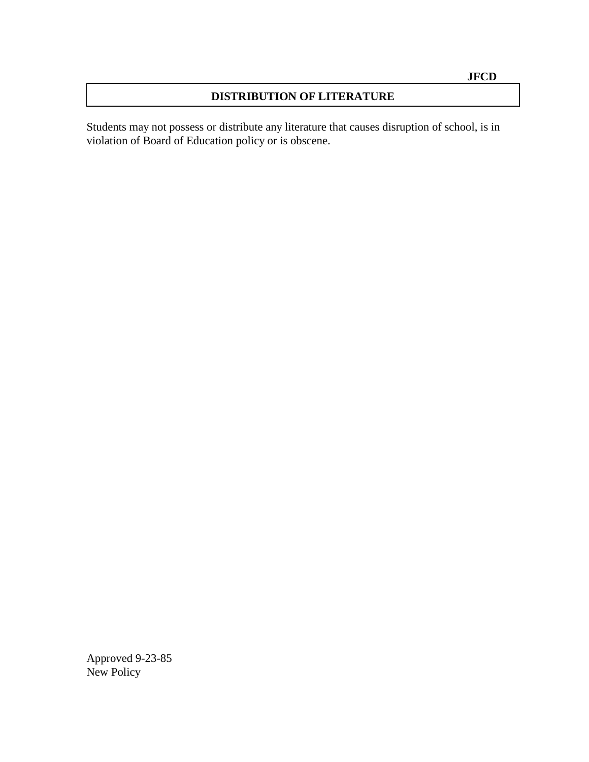## **DISTRIBUTION OF LITERATURE**

Students may not possess or distribute any literature that causes disruption of school, is in violation of Board of Education policy or is obscene.

Approved 9-23-85 New Policy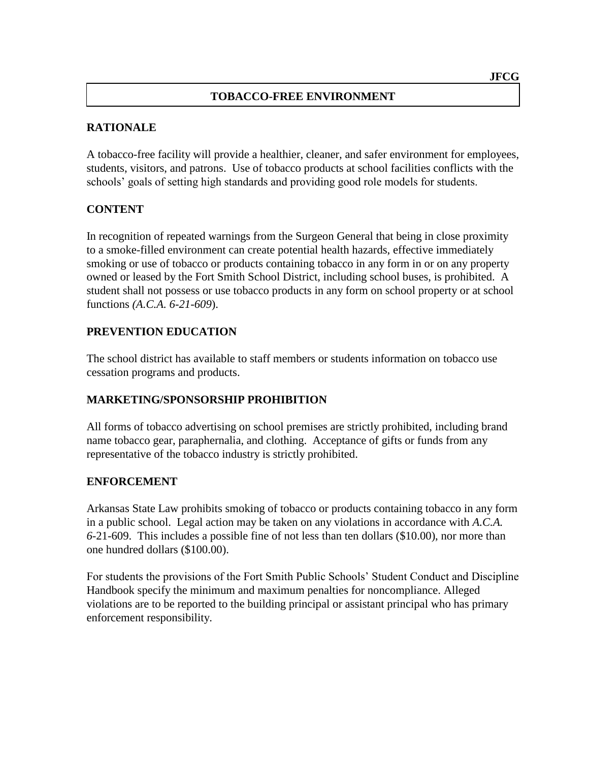#### **TOBACCO-FREE ENVIRONMENT**

#### **RATIONALE**

A tobacco-free facility will provide a healthier, cleaner, and safer environment for employees, students, visitors, and patrons. Use of tobacco products at school facilities conflicts with the schools' goals of setting high standards and providing good role models for students.

#### **CONTENT**

In recognition of repeated warnings from the Surgeon General that being in close proximity to a smoke-filled environment can create potential health hazards, effective immediately smoking or use of tobacco or products containing tobacco in any form in or on any property owned or leased by the Fort Smith School District, including school buses, is prohibited. A student shall not possess or use tobacco products in any form on school property or at school functions *(A.C.A. 6-21-609*).

#### **PREVENTION EDUCATION**

The school district has available to staff members or students information on tobacco use cessation programs and products.

#### **MARKETING/SPONSORSHIP PROHIBITION**

All forms of tobacco advertising on school premises are strictly prohibited, including brand name tobacco gear, paraphernalia, and clothing. Acceptance of gifts or funds from any representative of the tobacco industry is strictly prohibited.

#### **ENFORCEMENT**

Arkansas State Law prohibits smoking of tobacco or products containing tobacco in any form in a public school. Legal action may be taken on any violations in accordance with *A.C.A. 6*-21-609. This includes a possible fine of not less than ten dollars (\$10.00), nor more than one hundred dollars (\$100.00).

For students the provisions of the Fort Smith Public Schools' Student Conduct and Discipline Handbook specify the minimum and maximum penalties for noncompliance. Alleged violations are to be reported to the building principal or assistant principal who has primary enforcement responsibility.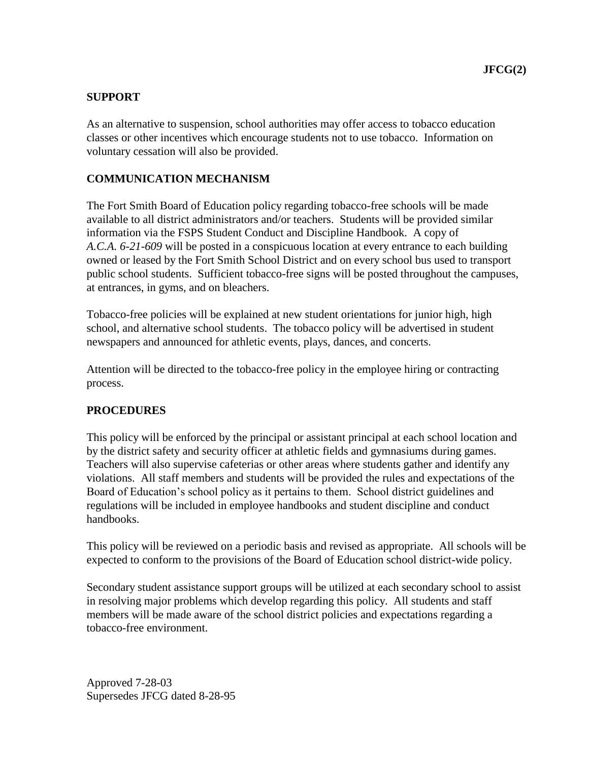## **SUPPORT**

As an alternative to suspension, school authorities may offer access to tobacco education classes or other incentives which encourage students not to use tobacco. Information on voluntary cessation will also be provided.

## **COMMUNICATION MECHANISM**

The Fort Smith Board of Education policy regarding tobacco-free schools will be made available to all district administrators and/or teachers. Students will be provided similar information via the FSPS Student Conduct and Discipline Handbook. A copy of *A.C.A. 6-21-609* will be posted in a conspicuous location at every entrance to each building owned or leased by the Fort Smith School District and on every school bus used to transport public school students. Sufficient tobacco-free signs will be posted throughout the campuses, at entrances, in gyms, and on bleachers.

Tobacco-free policies will be explained at new student orientations for junior high, high school, and alternative school students. The tobacco policy will be advertised in student newspapers and announced for athletic events, plays, dances, and concerts.

Attention will be directed to the tobacco-free policy in the employee hiring or contracting process.

## **PROCEDURES**

This policy will be enforced by the principal or assistant principal at each school location and by the district safety and security officer at athletic fields and gymnasiums during games. Teachers will also supervise cafeterias or other areas where students gather and identify any violations. All staff members and students will be provided the rules and expectations of the Board of Education's school policy as it pertains to them. School district guidelines and regulations will be included in employee handbooks and student discipline and conduct handbooks.

This policy will be reviewed on a periodic basis and revised as appropriate. All schools will be expected to conform to the provisions of the Board of Education school district-wide policy.

Secondary student assistance support groups will be utilized at each secondary school to assist in resolving major problems which develop regarding this policy. All students and staff members will be made aware of the school district policies and expectations regarding a tobacco-free environment.

Approved 7-28-03 Supersedes JFCG dated 8-28-95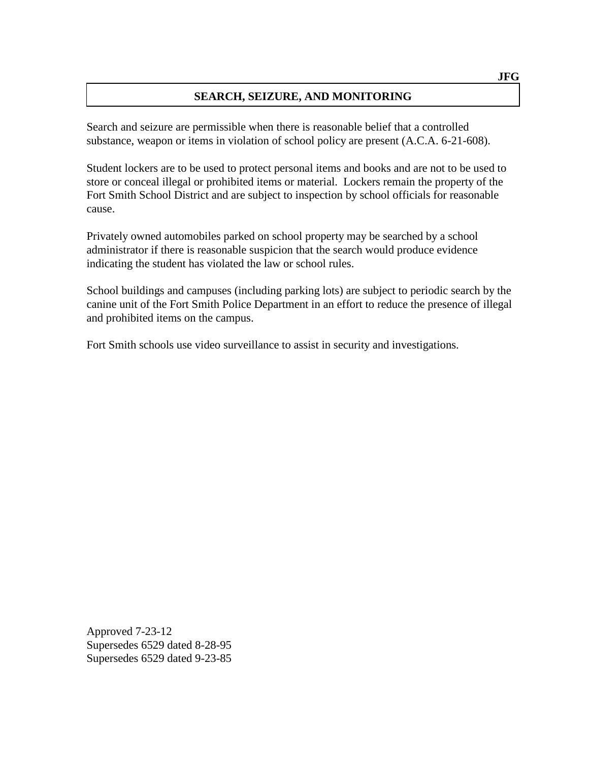## **SEARCH, SEIZURE, AND MONITORING**

Search and seizure are permissible when there is reasonable belief that a controlled substance, weapon or items in violation of school policy are present (A.C.A. 6-21-608).

Student lockers are to be used to protect personal items and books and are not to be used to store or conceal illegal or prohibited items or material. Lockers remain the property of the Fort Smith School District and are subject to inspection by school officials for reasonable cause.

Privately owned automobiles parked on school property may be searched by a school administrator if there is reasonable suspicion that the search would produce evidence indicating the student has violated the law or school rules.

School buildings and campuses (including parking lots) are subject to periodic search by the canine unit of the Fort Smith Police Department in an effort to reduce the presence of illegal and prohibited items on the campus.

Fort Smith schools use video surveillance to assist in security and investigations.

Approved 7-23-12 Supersedes 6529 dated 8-28-95 Supersedes 6529 dated 9-23-85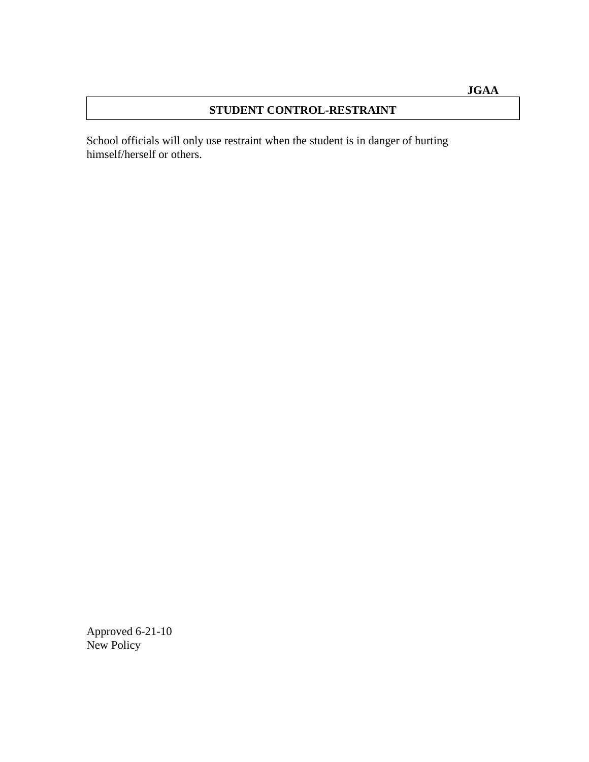## **STUDENT CONTROL-RESTRAINT**

School officials will only use restraint when the student is in danger of hurting himself/herself or others.

Approved 6-21-10 New Policy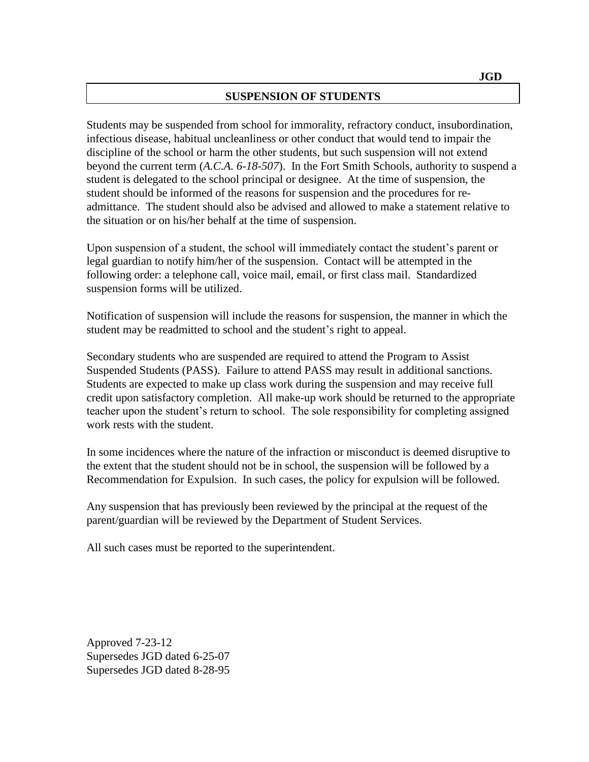#### **SUSPENSION OF STUDENTS**

Students may be suspended from school for immorality, refractory conduct, insubordination, infectious disease, habitual uncleanliness or other conduct that would tend to impair the discipline of the school or harm the other students, but such suspension will not extend beyond the current term (*A.C.A. 6-18-507*). In the Fort Smith Schools, authority to suspend a student is delegated to the school principal or designee. At the time of suspension, the student should be informed of the reasons for suspension and the procedures for readmittance. The student should also be advised and allowed to make a statement relative to the situation or on his/her behalf at the time of suspension.

Upon suspension of a student, the school will immediately contact the student's parent or legal guardian to notify him/her of the suspension. Contact will be attempted in the following order: a telephone call, voice mail, email, or first class mail. Standardized suspension forms will be utilized.

Notification of suspension will include the reasons for suspension, the manner in which the student may be readmitted to school and the student's right to appeal.

Secondary students who are suspended are required to attend the Program to Assist Suspended Students (PASS). Failure to attend PASS may result in additional sanctions. Students are expected to make up class work during the suspension and may receive full credit upon satisfactory completion. All make-up work should be returned to the appropriate teacher upon the student's return to school. The sole responsibility for completing assigned work rests with the student.

In some incidences where the nature of the infraction or misconduct is deemed disruptive to the extent that the student should not be in school, the suspension will be followed by a Recommendation for Expulsion. In such cases, the policy for expulsion will be followed.

Any suspension that has previously been reviewed by the principal at the request of the parent/guardian will be reviewed by the Department of Student Services.

All such cases must be reported to the superintendent.

Approved 7-23-12 Supersedes JGD dated 6-25-07 Supersedes JGD dated 8-28-95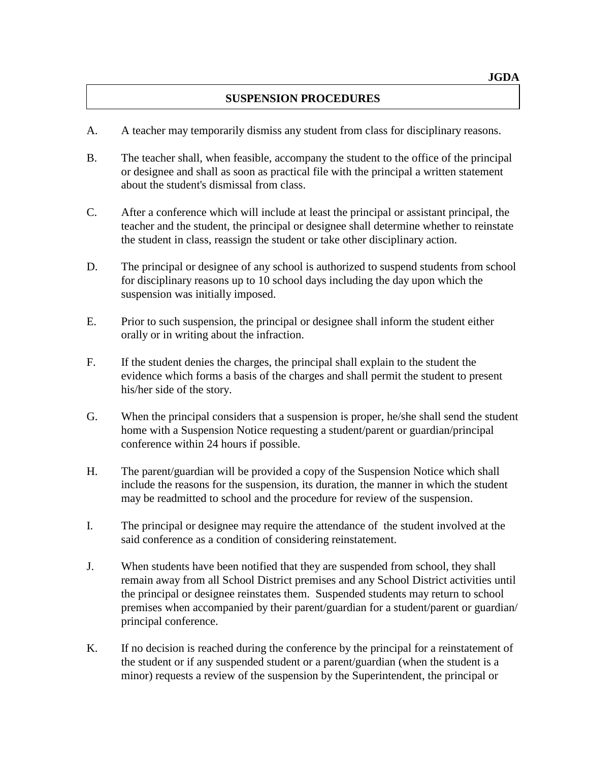### **SUSPENSION PROCEDURES**

- A. A teacher may temporarily dismiss any student from class for disciplinary reasons.
- B. The teacher shall, when feasible, accompany the student to the office of the principal or designee and shall as soon as practical file with the principal a written statement about the student's dismissal from class.
- C. After a conference which will include at least the principal or assistant principal, the teacher and the student, the principal or designee shall determine whether to reinstate the student in class, reassign the student or take other disciplinary action.
- D. The principal or designee of any school is authorized to suspend students from school for disciplinary reasons up to 10 school days including the day upon which the suspension was initially imposed.
- E. Prior to such suspension, the principal or designee shall inform the student either orally or in writing about the infraction.
- F. If the student denies the charges, the principal shall explain to the student the evidence which forms a basis of the charges and shall permit the student to present his/her side of the story.
- G. When the principal considers that a suspension is proper, he/she shall send the student home with a Suspension Notice requesting a student/parent or guardian/principal conference within 24 hours if possible.
- H. The parent/guardian will be provided a copy of the Suspension Notice which shall include the reasons for the suspension, its duration, the manner in which the student may be readmitted to school and the procedure for review of the suspension.
- I. The principal or designee may require the attendance of the student involved at the said conference as a condition of considering reinstatement.
- J. When students have been notified that they are suspended from school, they shall remain away from all School District premises and any School District activities until the principal or designee reinstates them. Suspended students may return to school premises when accompanied by their parent/guardian for a student/parent or guardian/ principal conference.
- K. If no decision is reached during the conference by the principal for a reinstatement of the student or if any suspended student or a parent/guardian (when the student is a minor) requests a review of the suspension by the Superintendent, the principal or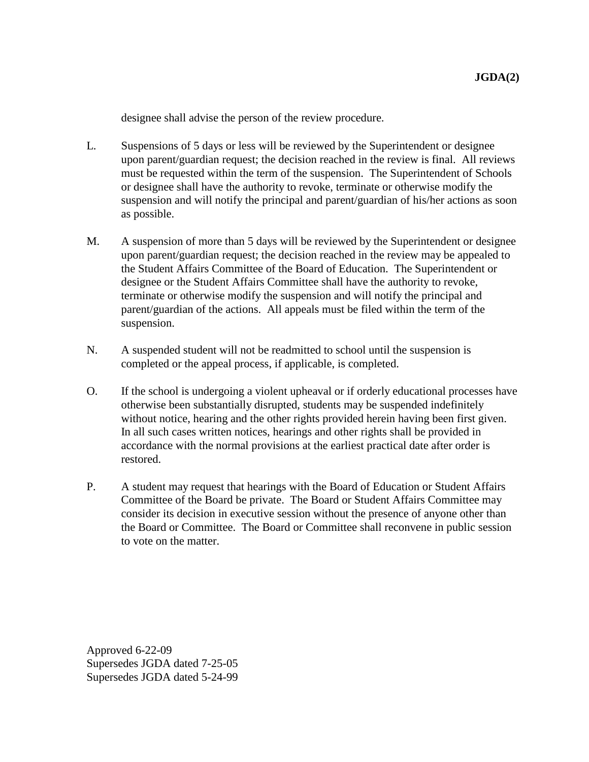designee shall advise the person of the review procedure.

- L. Suspensions of 5 days or less will be reviewed by the Superintendent or designee upon parent/guardian request; the decision reached in the review is final. All reviews must be requested within the term of the suspension. The Superintendent of Schools or designee shall have the authority to revoke, terminate or otherwise modify the suspension and will notify the principal and parent/guardian of his/her actions as soon as possible.
- M. A suspension of more than 5 days will be reviewed by the Superintendent or designee upon parent/guardian request; the decision reached in the review may be appealed to the Student Affairs Committee of the Board of Education. The Superintendent or designee or the Student Affairs Committee shall have the authority to revoke, terminate or otherwise modify the suspension and will notify the principal and parent/guardian of the actions.All appeals must be filed within the term of the suspension.
- N. A suspended student will not be readmitted to school until the suspension is completed or the appeal process, if applicable, is completed.
- O. If the school is undergoing a violent upheaval or if orderly educational processes have otherwise been substantially disrupted, students may be suspended indefinitely without notice, hearing and the other rights provided herein having been first given. In all such cases written notices, hearings and other rights shall be provided in accordance with the normal provisions at the earliest practical date after order is restored.
- P. A student may request that hearings with the Board of Education or Student Affairs Committee of the Board be private. The Board or Student Affairs Committee may consider its decision in executive session without the presence of anyone other than the Board or Committee. The Board or Committee shall reconvene in public session to vote on the matter.

Approved 6-22-09 Supersedes JGDA dated 7-25-05 Supersedes JGDA dated 5-24-99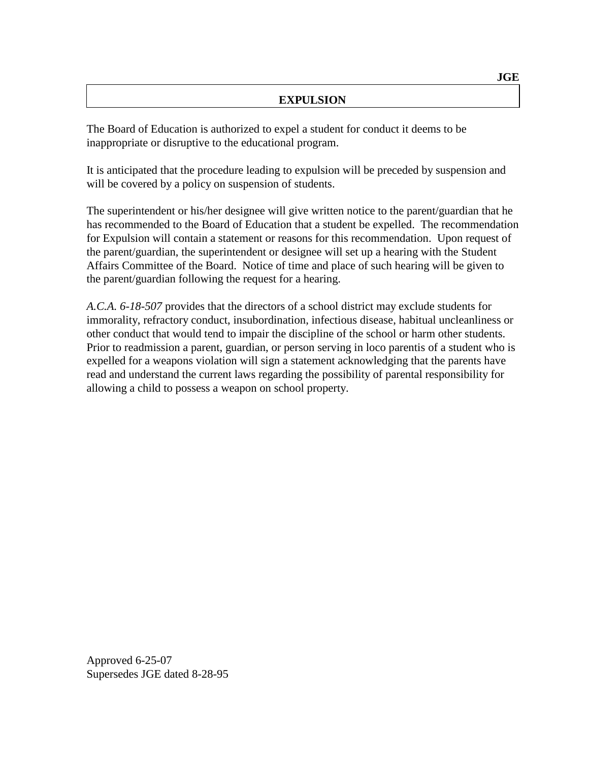#### **EXPULSION**

The Board of Education is authorized to expel a student for conduct it deems to be inappropriate or disruptive to the educational program.

It is anticipated that the procedure leading to expulsion will be preceded by suspension and will be covered by a policy on suspension of students.

The superintendent or his/her designee will give written notice to the parent/guardian that he has recommended to the Board of Education that a student be expelled. The recommendation for Expulsion will contain a statement or reasons for this recommendation. Upon request of the parent/guardian, the superintendent or designee will set up a hearing with the Student Affairs Committee of the Board. Notice of time and place of such hearing will be given to the parent/guardian following the request for a hearing.

*A.C.A. 6-18-507* provides that the directors of a school district may exclude students for immorality, refractory conduct, insubordination, infectious disease, habitual uncleanliness or other conduct that would tend to impair the discipline of the school or harm other students. Prior to readmission a parent, guardian, or person serving in loco parentis of a student who is expelled for a weapons violation will sign a statement acknowledging that the parents have read and understand the current laws regarding the possibility of parental responsibility for allowing a child to possess a weapon on school property.

Approved 6-25-07 Supersedes JGE dated 8-28-95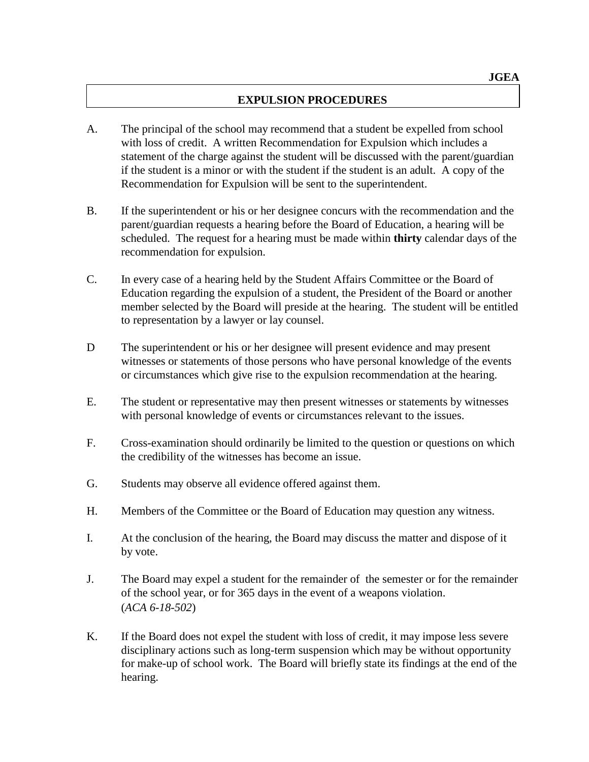#### **EXPULSION PROCEDURES**

- A. The principal of the school may recommend that a student be expelled from school with loss of credit. A written Recommendation for Expulsion which includes a statement of the charge against the student will be discussed with the parent/guardian if the student is a minor or with the student if the student is an adult. A copy of the Recommendation for Expulsion will be sent to the superintendent.
- B. If the superintendent or his or her designee concurs with the recommendation and the parent/guardian requests a hearing before the Board of Education, a hearing will be scheduled. The request for a hearing must be made within **thirty** calendar days of the recommendation for expulsion.
- C. In every case of a hearing held by the Student Affairs Committee or the Board of Education regarding the expulsion of a student, the President of the Board or another member selected by the Board will preside at the hearing. The student will be entitled to representation by a lawyer or lay counsel.
- D The superintendent or his or her designee will present evidence and may present witnesses or statements of those persons who have personal knowledge of the events or circumstances which give rise to the expulsion recommendation at the hearing.
- E. The student or representative may then present witnesses or statements by witnesses with personal knowledge of events or circumstances relevant to the issues.
- F. Cross-examination should ordinarily be limited to the question or questions on which the credibility of the witnesses has become an issue.
- G. Students may observe all evidence offered against them.
- H. Members of the Committee or the Board of Education may question any witness.
- I. At the conclusion of the hearing, the Board may discuss the matter and dispose of it by vote.
- J. The Board may expel a student for the remainder of the semester or for the remainder of the school year, or for 365 days in the event of a weapons violation. (*ACA 6-18-502*)
- K. If the Board does not expel the student with loss of credit, it may impose less severe disciplinary actions such as long-term suspension which may be without opportunity for make-up of school work. The Board will briefly state its findings at the end of the hearing.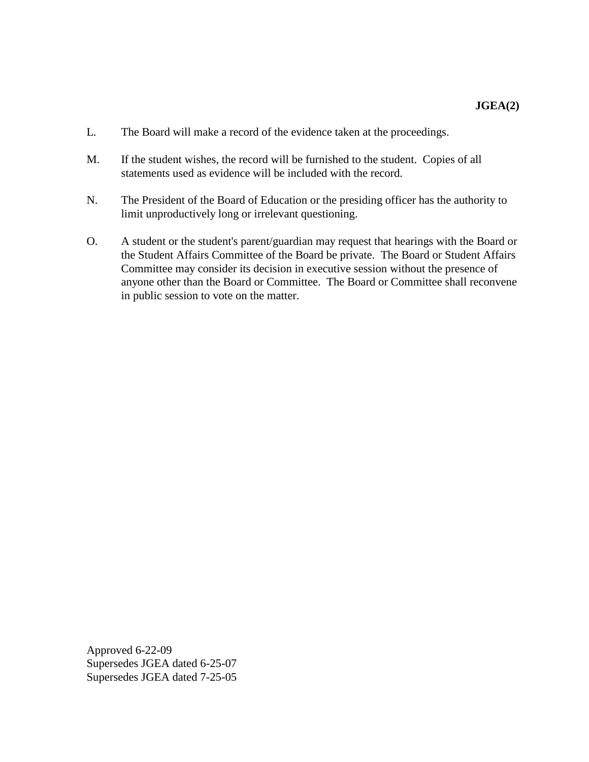- L. The Board will make a record of the evidence taken at the proceedings.
- M. If the student wishes, the record will be furnished to the student. Copies of all statements used as evidence will be included with the record.
- N. The President of the Board of Education or the presiding officer has the authority to limit unproductively long or irrelevant questioning.
- O. A student or the student's parent/guardian may request that hearings with the Board or the Student Affairs Committee of the Board be private. The Board or Student Affairs Committee may consider its decision in executive session without the presence of anyone other than the Board or Committee. The Board or Committee shall reconvene in public session to vote on the matter.

Approved 6-22-09 Supersedes JGEA dated 6-25-07 Supersedes JGEA dated 7-25-05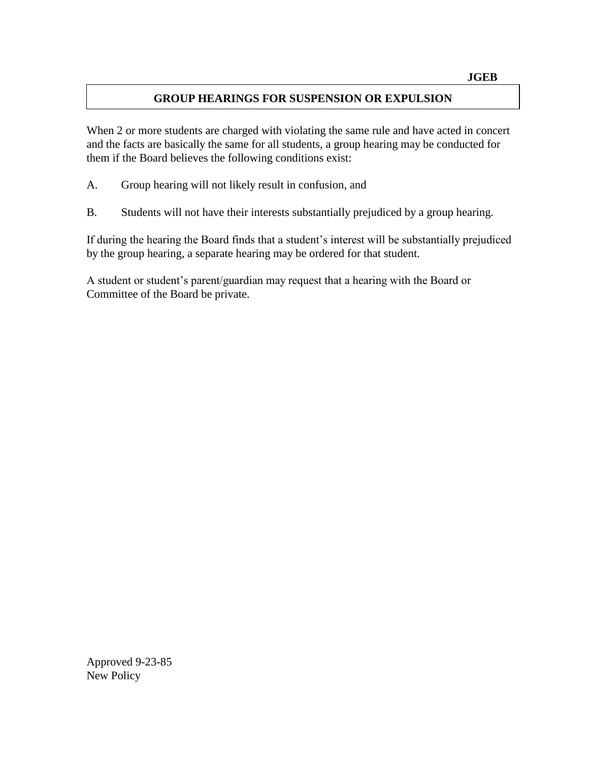### **GROUP HEARINGS FOR SUSPENSION OR EXPULSION**

When 2 or more students are charged with violating the same rule and have acted in concert and the facts are basically the same for all students, a group hearing may be conducted for them if the Board believes the following conditions exist:

- A. Group hearing will not likely result in confusion, and
- B. Students will not have their interests substantially prejudiced by a group hearing.

If during the hearing the Board finds that a student's interest will be substantially prejudiced by the group hearing, a separate hearing may be ordered for that student.

A student or student's parent/guardian may request that a hearing with the Board or Committee of the Board be private.

Approved 9-23-85 New Policy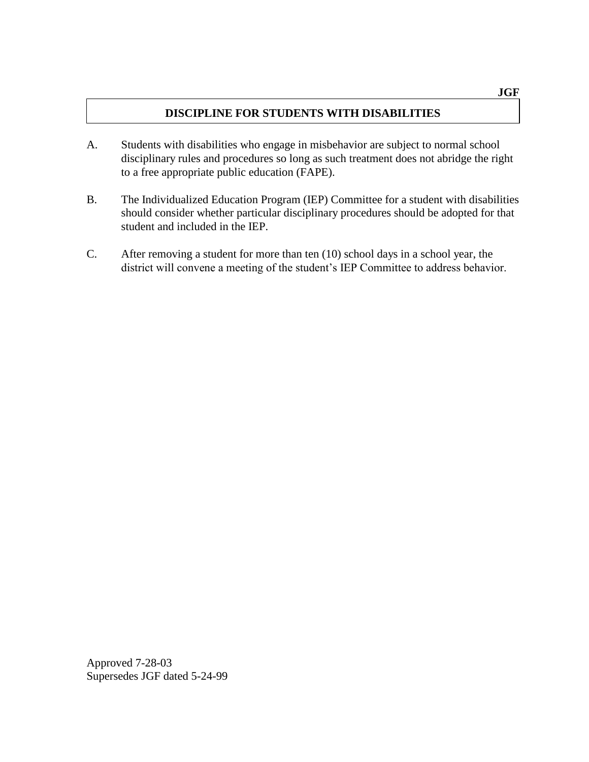### **DISCIPLINE FOR STUDENTS WITH DISABILITIES**

- A. Students with disabilities who engage in misbehavior are subject to normal school disciplinary rules and procedures so long as such treatment does not abridge the right to a free appropriate public education (FAPE).
- B. The Individualized Education Program (IEP) Committee for a student with disabilities should consider whether particular disciplinary procedures should be adopted for that student and included in the IEP.
- C. After removing a student for more than ten (10) school days in a school year, the district will convene a meeting of the student's IEP Committee to address behavior.

Approved 7-28-03 Supersedes JGF dated 5-24-99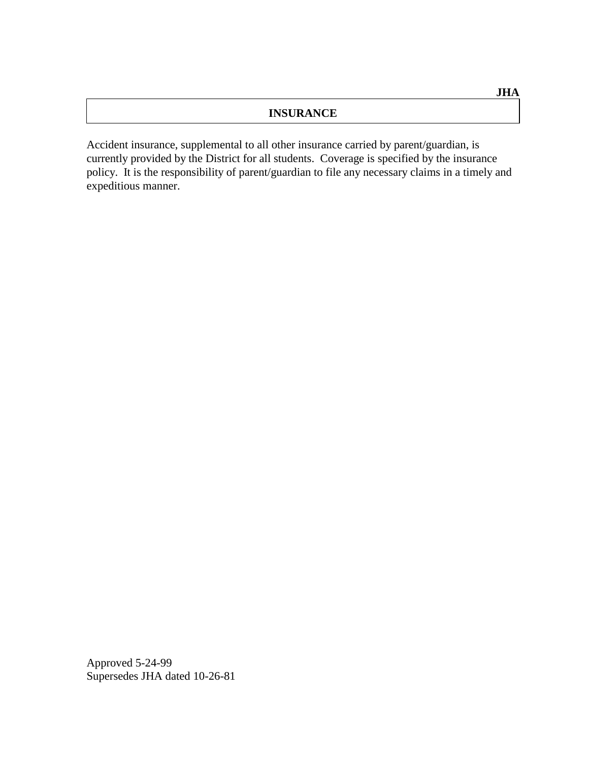#### **INSURANCE**

Accident insurance, supplemental to all other insurance carried by parent/guardian, is currently provided by the District for all students. Coverage is specified by the insurance policy. It is the responsibility of parent/guardian to file any necessary claims in a timely and expeditious manner.

Approved 5-24-99 Supersedes JHA dated 10-26-81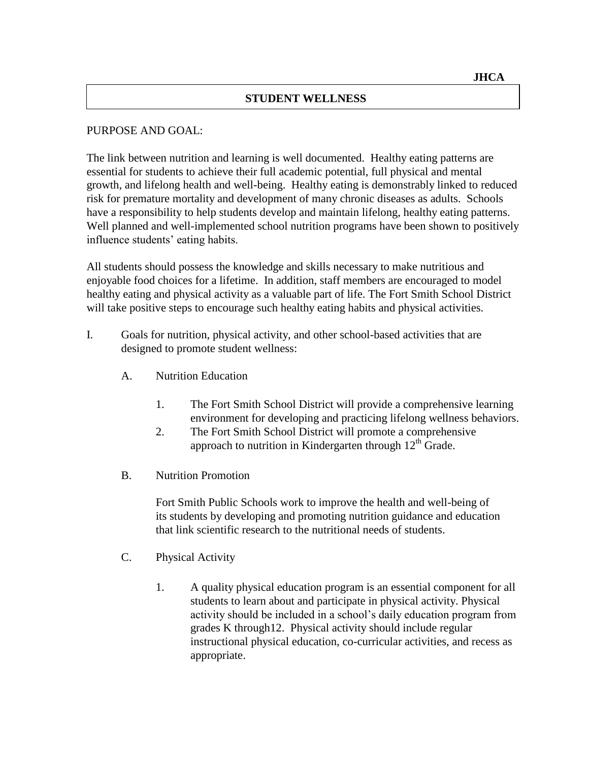#### **STUDENT WELLNESS**

#### PURPOSE AND GOAL:

The link between nutrition and learning is well documented. Healthy eating patterns are essential for students to achieve their full academic potential, full physical and mental growth, and lifelong health and well-being. Healthy eating is demonstrably linked to reduced risk for premature mortality and development of many chronic diseases as adults. Schools have a responsibility to help students develop and maintain lifelong, healthy eating patterns. Well planned and well-implemented school nutrition programs have been shown to positively influence students' eating habits.

All students should possess the knowledge and skills necessary to make nutritious and enjoyable food choices for a lifetime. In addition, staff members are encouraged to model healthy eating and physical activity as a valuable part of life. The Fort Smith School District will take positive steps to encourage such healthy eating habits and physical activities.

- I. Goals for nutrition, physical activity, and other school-based activities that are designed to promote student wellness:
	- A. Nutrition Education
		- 1. The Fort Smith School District will provide a comprehensive learning environment for developing and practicing lifelong wellness behaviors.
		- 2. The Fort Smith School District will promote a comprehensive approach to nutrition in Kindergarten through  $12<sup>th</sup>$  Grade.
	- B. Nutrition Promotion

Fort Smith Public Schools work to improve the health and well-being of its students by developing and promoting nutrition guidance and education that link scientific research to the nutritional needs of students.

- C. Physical Activity
	- 1. A quality physical education program is an essential component for all students to learn about and participate in physical activity. Physical activity should be included in a school's daily education program from grades K through12. Physical activity should include regular instructional physical education, co-curricular activities, and recess as appropriate.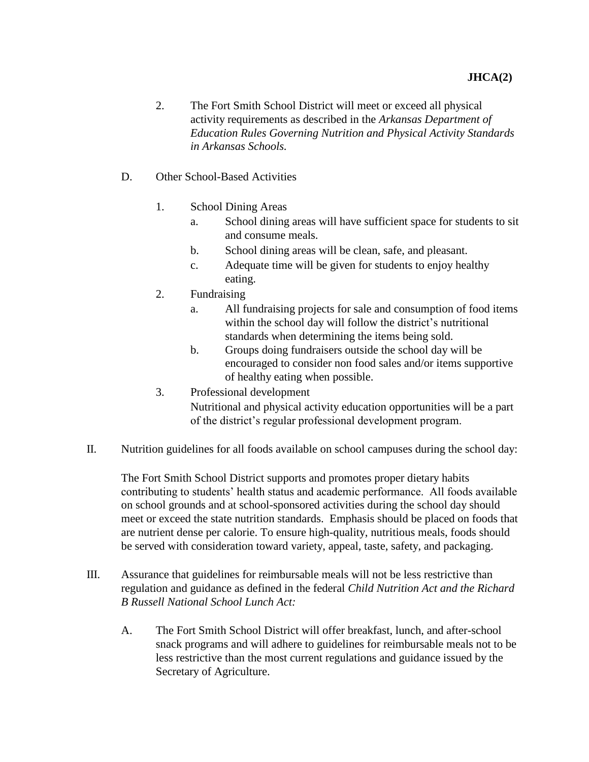- 2. The Fort Smith School District will meet or exceed all physical activity requirements as described in the *Arkansas Department of Education Rules Governing Nutrition and Physical Activity Standards in Arkansas Schools.*
- D. Other School-Based Activities
	- 1. School Dining Areas
		- a. School dining areas will have sufficient space for students to sit and consume meals.
		- b. School dining areas will be clean, safe, and pleasant.
		- c. Adequate time will be given for students to enjoy healthy eating.
	- 2. Fundraising
		- a. All fundraising projects for sale and consumption of food items within the school day will follow the district's nutritional standards when determining the items being sold.
		- b. Groups doing fundraisers outside the school day will be encouraged to consider non food sales and/or items supportive of healthy eating when possible.
	- 3. Professional development Nutritional and physical activity education opportunities will be a part of the district's regular professional development program.
- II. Nutrition guidelines for all foods available on school campuses during the school day:

The Fort Smith School District supports and promotes proper dietary habits contributing to students' health status and academic performance. All foods available on school grounds and at school-sponsored activities during the school day should meet or exceed the state nutrition standards. Emphasis should be placed on foods that are nutrient dense per calorie. To ensure high-quality, nutritious meals, foods should be served with consideration toward variety, appeal, taste, safety, and packaging.

- III. Assurance that guidelines for reimbursable meals will not be less restrictive than regulation and guidance as defined in the federal *Child Nutrition Act and the Richard B Russell National School Lunch Act:*
	- A. The Fort Smith School District will offer breakfast, lunch, and after-school snack programs and will adhere to guidelines for reimbursable meals not to be less restrictive than the most current regulations and guidance issued by the Secretary of Agriculture.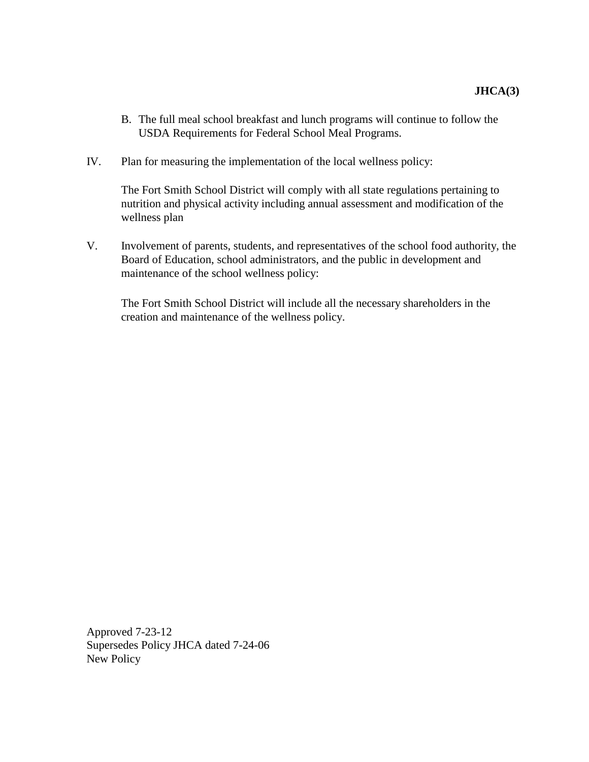- B. The full meal school breakfast and lunch programs will continue to follow the USDA Requirements for Federal School Meal Programs.
- IV. Plan for measuring the implementation of the local wellness policy:

The Fort Smith School District will comply with all state regulations pertaining to nutrition and physical activity including annual assessment and modification of the wellness plan

V. Involvement of parents, students, and representatives of the school food authority, the Board of Education, school administrators, and the public in development and maintenance of the school wellness policy:

The Fort Smith School District will include all the necessary shareholders in the creation and maintenance of the wellness policy.

Approved 7-23-12 Supersedes Policy JHCA dated 7-24-06 New Policy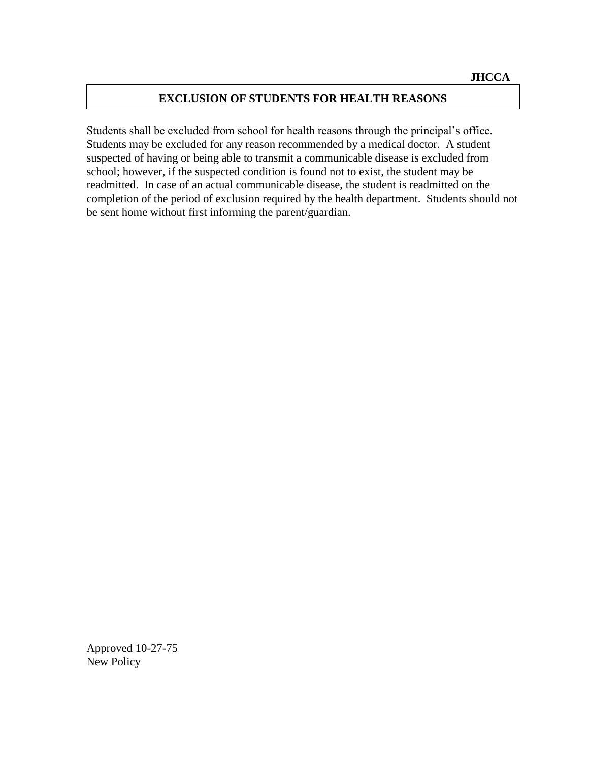#### **EXCLUSION OF STUDENTS FOR HEALTH REASONS**

Students shall be excluded from school for health reasons through the principal's office. Students may be excluded for any reason recommended by a medical doctor. A student suspected of having or being able to transmit a communicable disease is excluded from school; however, if the suspected condition is found not to exist, the student may be readmitted. In case of an actual communicable disease, the student is readmitted on the completion of the period of exclusion required by the health department. Students should not be sent home without first informing the parent/guardian.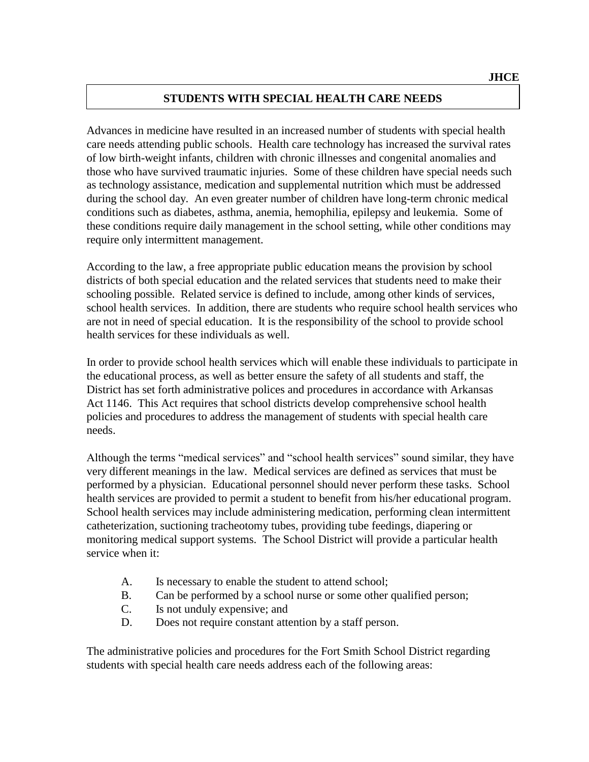### **STUDENTS WITH SPECIAL HEALTH CARE NEEDS**

Advances in medicine have resulted in an increased number of students with special health care needs attending public schools. Health care technology has increased the survival rates of low birth-weight infants, children with chronic illnesses and congenital anomalies and those who have survived traumatic injuries. Some of these children have special needs such as technology assistance, medication and supplemental nutrition which must be addressed during the school day. An even greater number of children have long-term chronic medical conditions such as diabetes, asthma, anemia, hemophilia, epilepsy and leukemia. Some of these conditions require daily management in the school setting, while other conditions may require only intermittent management.

According to the law, a free appropriate public education means the provision by school districts of both special education and the related services that students need to make their schooling possible. Related service is defined to include, among other kinds of services, school health services. In addition, there are students who require school health services who are not in need of special education. It is the responsibility of the school to provide school health services for these individuals as well.

In order to provide school health services which will enable these individuals to participate in the educational process, as well as better ensure the safety of all students and staff, the District has set forth administrative polices and procedures in accordance with Arkansas Act 1146. This Act requires that school districts develop comprehensive school health policies and procedures to address the management of students with special health care needs.

Although the terms "medical services" and "school health services" sound similar, they have very different meanings in the law. Medical services are defined as services that must be performed by a physician. Educational personnel should never perform these tasks. School health services are provided to permit a student to benefit from his/her educational program. School health services may include administering medication, performing clean intermittent catheterization, suctioning tracheotomy tubes, providing tube feedings, diapering or monitoring medical support systems. The School District will provide a particular health service when it:

- A. Is necessary to enable the student to attend school;
- B. Can be performed by a school nurse or some other qualified person;
- C. Is not unduly expensive; and
- D. Does not require constant attention by a staff person.

The administrative policies and procedures for the Fort Smith School District regarding students with special health care needs address each of the following areas: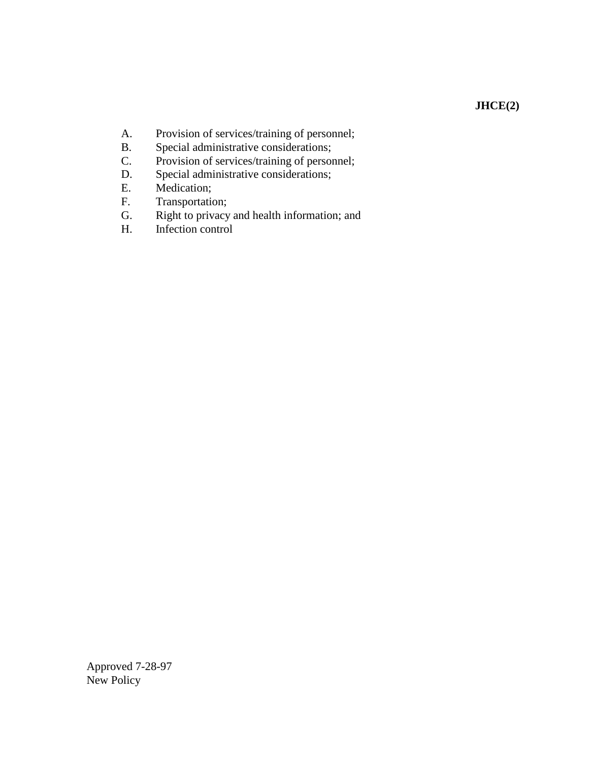### **JHCE(2)**

- A. Provision of services/training of personnel;<br>B. Special administrative considerations;
- B. Special administrative considerations;<br>C. Provision of services/training of person
- Provision of services/training of personnel;
- D. Special administrative considerations;<br>E. Medication;
- Medication;
- F. Transportation;
- G. Right to privacy and health information; and
- H. Infection control

Approved 7-28-97 New Policy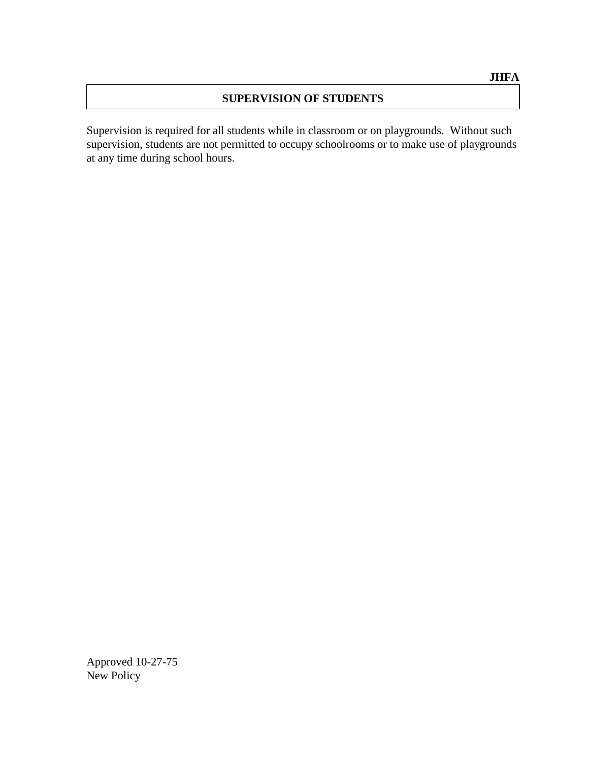#### **SUPERVISION OF STUDENTS**

Supervision is required for all students while in classroom or on playgrounds. Without such supervision, students are not permitted to occupy schoolrooms or to make use of playgrounds at any time during school hours.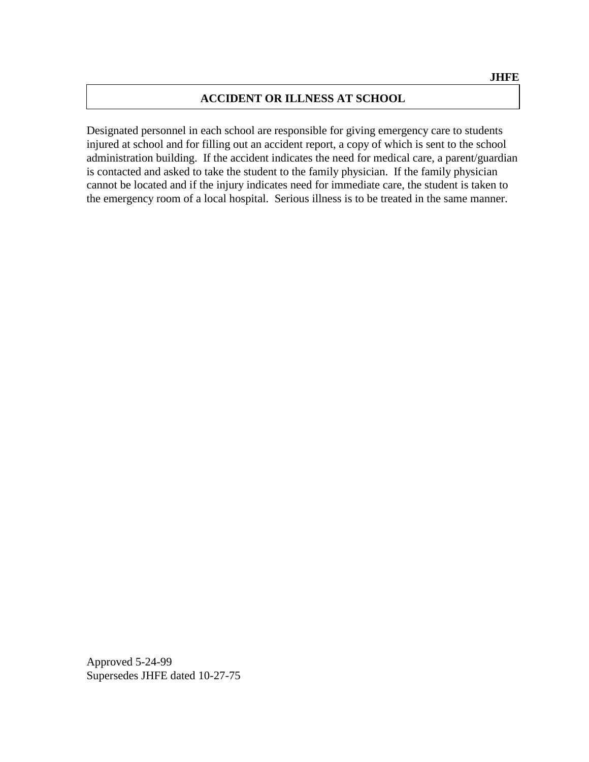#### **ACCIDENT OR ILLNESS AT SCHOOL**

Designated personnel in each school are responsible for giving emergency care to students injured at school and for filling out an accident report, a copy of which is sent to the school administration building. If the accident indicates the need for medical care, a parent/guardian is contacted and asked to take the student to the family physician. If the family physician cannot be located and if the injury indicates need for immediate care, the student is taken to the emergency room of a local hospital. Serious illness is to be treated in the same manner.

Approved 5-24-99 Supersedes JHFE dated 10-27-75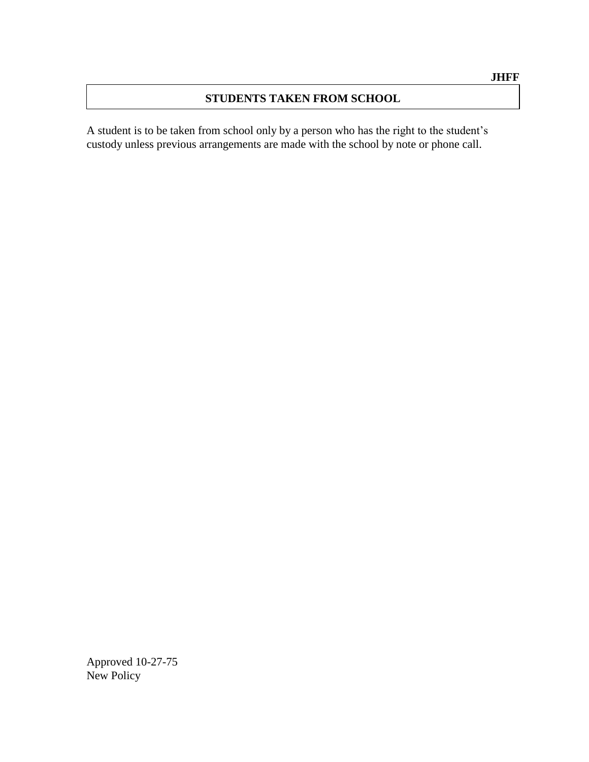### **STUDENTS TAKEN FROM SCHOOL**

A student is to be taken from school only by a person who has the right to the student's custody unless previous arrangements are made with the school by note or phone call.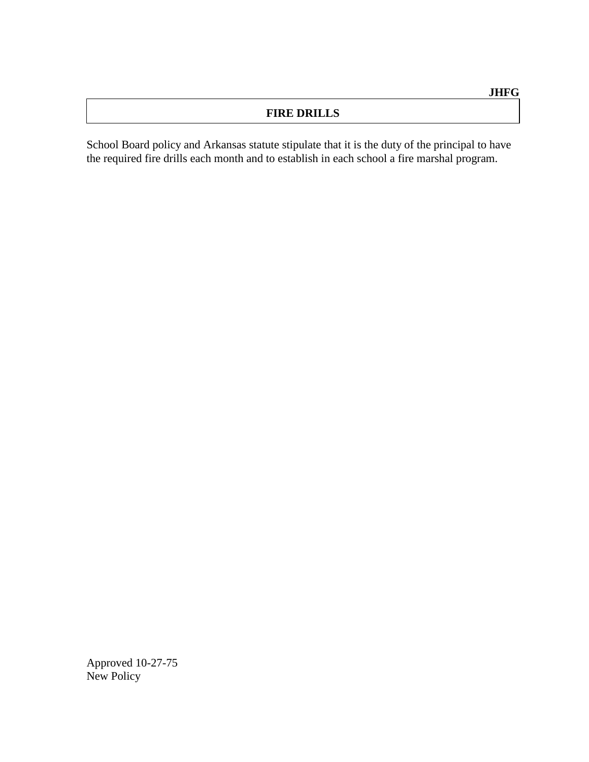## **FIRE DRILLS**

School Board policy and Arkansas statute stipulate that it is the duty of the principal to have the required fire drills each month and to establish in each school a fire marshal program.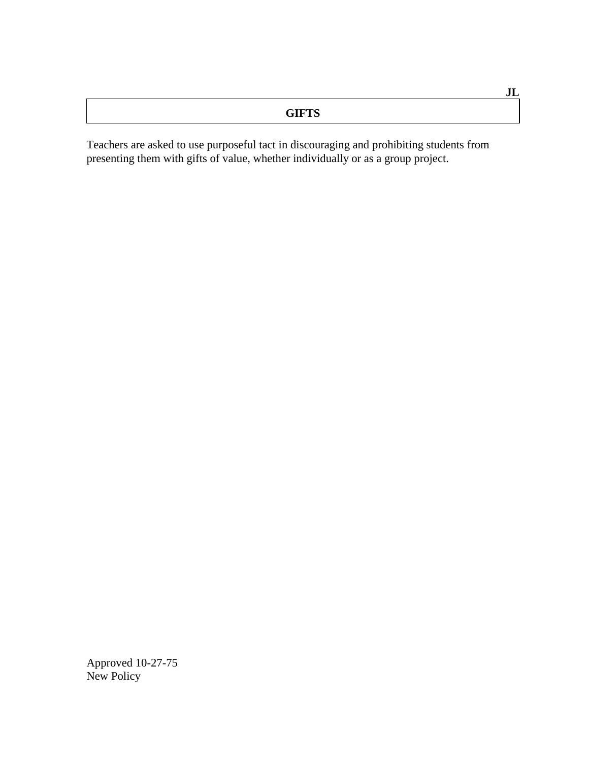| ----<br>∸∼ |
|------------|
|            |

**JL**

Teachers are asked to use purposeful tact in discouraging and prohibiting students from presenting them with gifts of value, whether individually or as a group project.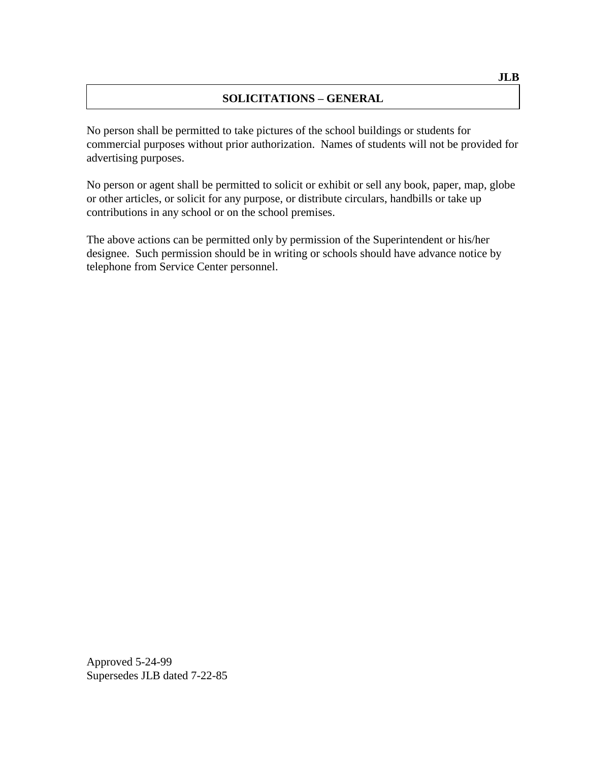## **SOLICITATIONS – GENERAL**

No person shall be permitted to take pictures of the school buildings or students for commercial purposes without prior authorization. Names of students will not be provided for advertising purposes.

No person or agent shall be permitted to solicit or exhibit or sell any book, paper, map, globe or other articles, or solicit for any purpose, or distribute circulars, handbills or take up contributions in any school or on the school premises.

The above actions can be permitted only by permission of the Superintendent or his/her designee. Such permission should be in writing or schools should have advance notice by telephone from Service Center personnel.

Approved 5-24-99 Supersedes JLB dated 7-22-85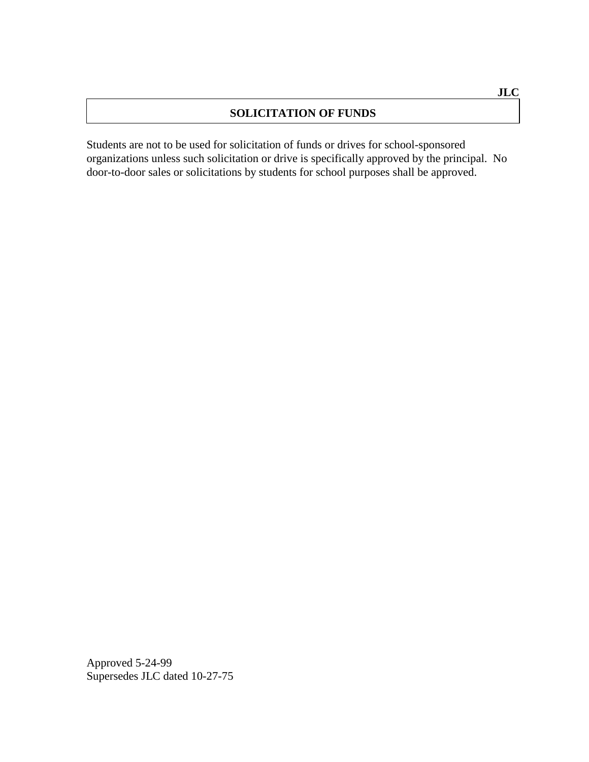## **SOLICITATION OF FUNDS**

Students are not to be used for solicitation of funds or drives for school-sponsored organizations unless such solicitation or drive is specifically approved by the principal. No door-to-door sales or solicitations by students for school purposes shall be approved.

Approved 5-24-99 Supersedes JLC dated 10-27-75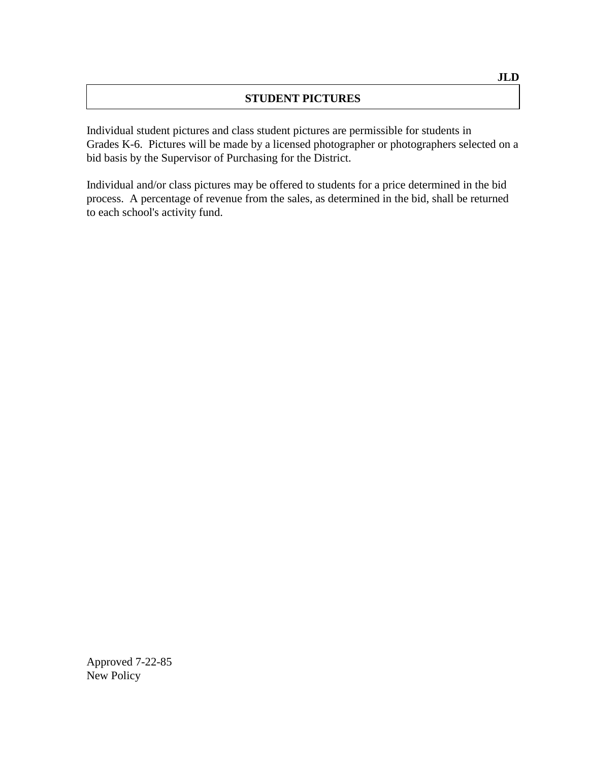## **STUDENT PICTURES**

Individual student pictures and class student pictures are permissible for students in Grades K-6. Pictures will be made by a licensed photographer or photographers selected on a bid basis by the Supervisor of Purchasing for the District.

Individual and/or class pictures may be offered to students for a price determined in the bid process. A percentage of revenue from the sales, as determined in the bid, shall be returned to each school's activity fund.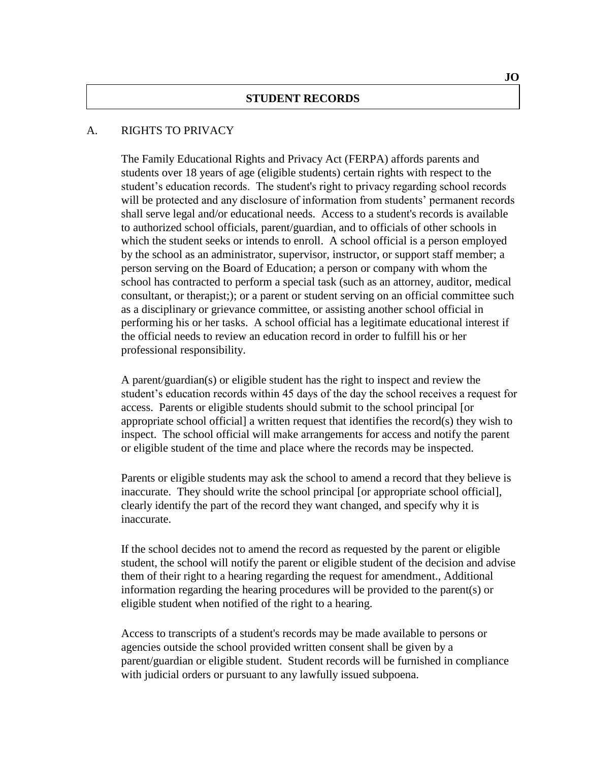#### A. RIGHTS TO PRIVACY

The Family Educational Rights and Privacy Act (FERPA) affords parents and students over 18 years of age (eligible students) certain rights with respect to the student's education records. The student's right to privacy regarding school records will be protected and any disclosure of information from students' permanent records shall serve legal and/or educational needs. Access to a student's records is available to authorized school officials, parent/guardian, and to officials of other schools in which the student seeks or intends to enroll. A school official is a person employed by the school as an administrator, supervisor, instructor, or support staff member; a person serving on the Board of Education; a person or company with whom the school has contracted to perform a special task (such as an attorney, auditor, medical consultant, or therapist;); or a parent or student serving on an official committee such as a disciplinary or grievance committee, or assisting another school official in performing his or her tasks. A school official has a legitimate educational interest if the official needs to review an education record in order to fulfill his or her professional responsibility.

A parent/guardian(s) or eligible student has the right to inspect and review the student's education records within 45 days of the day the school receives a request for access. Parents or eligible students should submit to the school principal [or appropriate school official] a written request that identifies the record(s) they wish to inspect. The school official will make arrangements for access and notify the parent or eligible student of the time and place where the records may be inspected.

Parents or eligible students may ask the school to amend a record that they believe is inaccurate. They should write the school principal [or appropriate school official], clearly identify the part of the record they want changed, and specify why it is inaccurate.

If the school decides not to amend the record as requested by the parent or eligible student, the school will notify the parent or eligible student of the decision and advise them of their right to a hearing regarding the request for amendment., Additional information regarding the hearing procedures will be provided to the parent(s) or eligible student when notified of the right to a hearing.

Access to transcripts of a student's records may be made available to persons or agencies outside the school provided written consent shall be given by a parent/guardian or eligible student. Student records will be furnished in compliance with judicial orders or pursuant to any lawfully issued subpoena.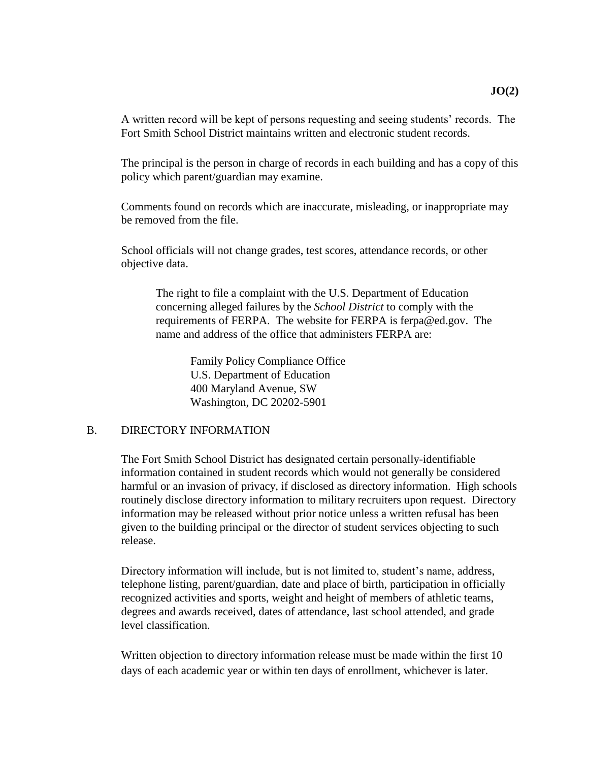A written record will be kept of persons requesting and seeing students' records. The Fort Smith School District maintains written and electronic student records.

The principal is the person in charge of records in each building and has a copy of this policy which parent/guardian may examine.

Comments found on records which are inaccurate, misleading, or inappropriate may be removed from the file.

School officials will not change grades, test scores, attendance records, or other objective data.

The right to file a complaint with the U.S. Department of Education concerning alleged failures by the *School District* to comply with the requirements of FERPA. The website for FERPA is ferpa@ed.gov. The name and address of the office that administers FERPA are:

> Family Policy Compliance Office U.S. Department of Education 400 Maryland Avenue, SW Washington, DC 20202-5901

#### B. DIRECTORY INFORMATION

The Fort Smith School District has designated certain personally-identifiable information contained in student records which would not generally be considered harmful or an invasion of privacy, if disclosed as directory information. High schools routinely disclose directory information to military recruiters upon request. Directory information may be released without prior notice unless a written refusal has been given to the building principal or the director of student services objecting to such release.

Directory information will include, but is not limited to, student's name, address, telephone listing, parent/guardian, date and place of birth, participation in officially recognized activities and sports, weight and height of members of athletic teams, degrees and awards received, dates of attendance, last school attended, and grade level classification.

Written objection to directory information release must be made within the first 10 days of each academic year or within ten days of enrollment, whichever is later.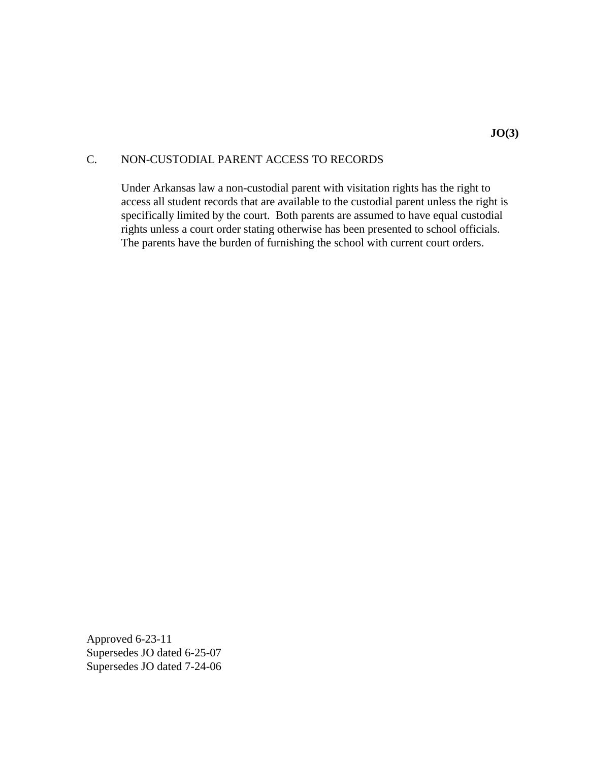### C. NON-CUSTODIAL PARENT ACCESS TO RECORDS

Under Arkansas law a non-custodial parent with visitation rights has the right to access all student records that are available to the custodial parent unless the right is specifically limited by the court. Both parents are assumed to have equal custodial rights unless a court order stating otherwise has been presented to school officials. The parents have the burden of furnishing the school with current court orders.

Approved 6-23-11 Supersedes JO dated 6-25-07 Supersedes JO dated 7-24-06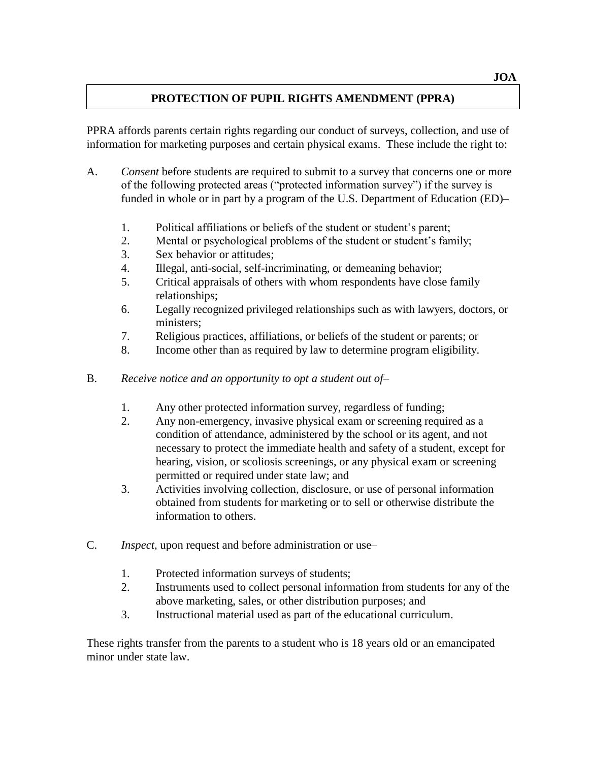## **PROTECTION OF PUPIL RIGHTS AMENDMENT (PPRA)**

PPRA affords parents certain rights regarding our conduct of surveys, collection, and use of information for marketing purposes and certain physical exams. These include the right to:

- A. *Consent* before students are required to submit to a survey that concerns one or more of the following protected areas ("protected information survey") if the survey is funded in whole or in part by a program of the U.S. Department of Education (ED)–
	- 1. Political affiliations or beliefs of the student or student's parent;
	- 2. Mental or psychological problems of the student or student's family;
	- 3. Sex behavior or attitudes;
	- 4. Illegal, anti-social, self-incriminating, or demeaning behavior;
	- 5. Critical appraisals of others with whom respondents have close family relationships;
	- 6. Legally recognized privileged relationships such as with lawyers, doctors, or ministers;
	- 7. Religious practices, affiliations, or beliefs of the student or parents; or
	- 8. Income other than as required by law to determine program eligibility.
- B. *Receive notice and an opportunity to opt a student out of–*
	- 1. Any other protected information survey, regardless of funding;
	- 2. Any non-emergency, invasive physical exam or screening required as a condition of attendance, administered by the school or its agent, and not necessary to protect the immediate health and safety of a student, except for hearing, vision, or scoliosis screenings, or any physical exam or screening permitted or required under state law; and
	- 3. Activities involving collection, disclosure, or use of personal information obtained from students for marketing or to sell or otherwise distribute the information to others.
- C. *Inspect,* upon request and before administration or use–
	- 1. Protected information surveys of students;
	- 2. Instruments used to collect personal information from students for any of the above marketing, sales, or other distribution purposes; and
	- 3. Instructional material used as part of the educational curriculum.

These rights transfer from the parents to a student who is 18 years old or an emancipated minor under state law.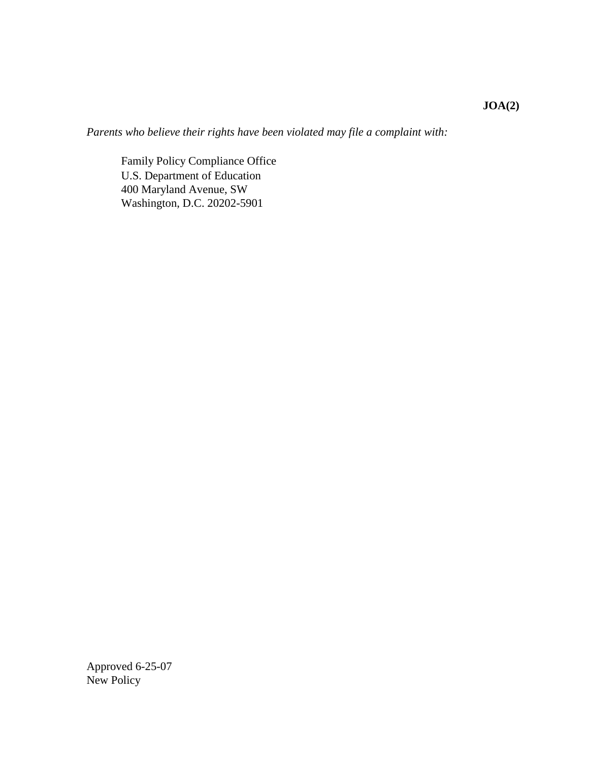*Parents who believe their rights have been violated may file a complaint with:*

Family Policy Compliance Office U.S. Department of Education 400 Maryland Avenue, SW Washington, D.C. 20202-5901

Approved 6-25-07 New Policy